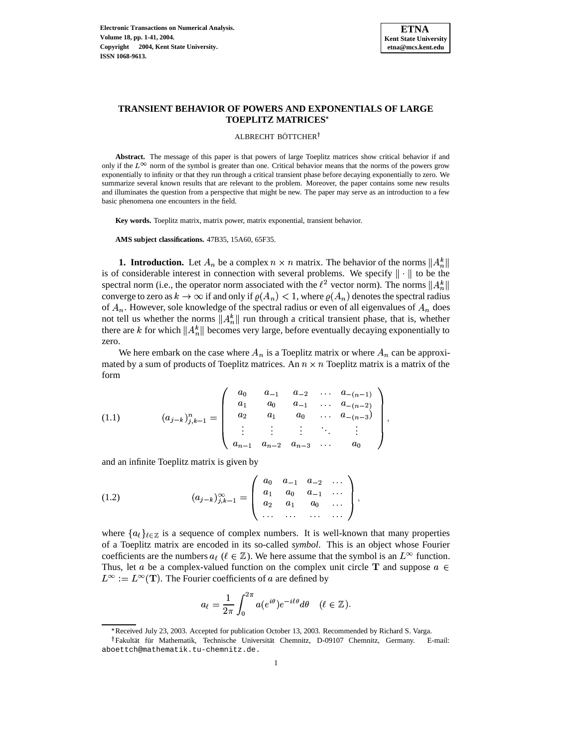

# **TRANSIENT BEHAVIOR OF POWERS AND EXPONENTIALS OF LARGE TOEPLITZ MATRICES**

#### ALBRECHT BÖTTCHER<sup>†</sup>

**Abstract.** The message of this paper is that powers of large Toeplitz matrices show critical behavior if and only if the  $L^{\infty}$  norm of the symbol is greater than one. Critical behavior means that the norms of the powers grow exponentially to infinity or that they run through a critical transient phase before decaying exponentially to zero. We summarize several known results that are relevant to the problem. Moreover, the paper contains some new results and illuminates the question from a perspective that might be new. The paper may serve as an introduction to a few basic phenomena one encounters in the field.

**Key words.** Toeplitz matrix, matrix power, matrix exponential, transient behavior.

**AMS subject classifications.** 47B35, 15A60, 65F35.

**1. Introduction.** Let  $A_n$  be a complex  $n \times n$  matrix. The behavior of the norms  $||A_n^k||$ is of considerable interest in connection with several problems. We specify  $\|\cdot\|$  to be the spectral norm (i.e., the operator norm associated with the  $\ell^2$  vector norm). The norms  $||A_n^k||$ converge to zero as  $k \to \infty$  if and only if  $\varrho(A_n) < 1$ , where  $\varrho(A_n)$  denotes the spectral radius of  $A_n$ . However, sole knowledge of the spectral radius or even of all eigenvalues of  $A_n$  does not tell us whether the norms  $||A_n^k||$  run through a critical transient phase, that is, whether there are k for which  $||A_n^k||$  becomes very large, before eventually decaying exponentially to zero.

<span id="page-0-0"></span>We here embark on the case where  $A_n$  is a Toeplitz matrix or where  $A_n$  can be approximated by a sum of products of Toeplitz matrices. An  $n \times n$  Toeplitz matrix is a matrix of the form

$$
(1.1) \qquad (a_{j-k})_{j,k=1}^n = \begin{pmatrix} a_0 & a_{-1} & a_{-2} & \dots & a_{-(n-1)} \\ a_1 & a_0 & a_{-1} & \dots & a_{-(n-2)} \\ a_2 & a_1 & a_0 & \dots & a_{-(n-3)} \\ \vdots & \vdots & \vdots & \ddots & \vdots \\ a_{n-1} & a_{n-2} & a_{n-3} & \dots & a_0 \end{pmatrix},
$$

<span id="page-0-1"></span> $\overline{f}$ 

and an infinite Toeplitz matrix is given by

(1.2) 
$$
(a_{j-k})_{j,k=1}^{\infty} = \begin{pmatrix} a_0 & a_{-1} & a_{-2} & \cdots \\ a_1 & a_0 & a_{-1} & \cdots \\ a_2 & a_1 & a_0 & \cdots \\ \cdots & \cdots & \cdots & \cdots \end{pmatrix},
$$

where  $\{a_\ell\}_{\ell \in \mathbb{Z}}$  is a sequence of complex numbers. It is well-known that many properties of a Toeplitz matrix are encoded in its so-called *symbol*. This is an object whose Fourier coefficients are the numbers  $a_{\ell}$  ( $\ell \in \mathbb{Z}$ ). We here assume that the symbol is an  $L^{\infty}$  function. Thus, let a be a complex-valued function on the complex unit circle T and suppose  $a \in$  $L^{\infty} := L^{\infty}(\mathbf{T})$ . The Fourier coefficients of a are defined by

s and the second state of the second state in the second state in the second state in the second state in the second state in the second state in the second state in the second state in the second state in the second state

$$
a_{\ell} = \frac{1}{2\pi} \int_0^{2\pi} a(e^{i\theta}) e^{-i\ell\theta} d\theta \quad (\ell \in \mathbb{Z}).
$$

<sup>\*</sup> Received July 23, 2003. Accepted for publication October 13, 2003. Recommended by Richard S. Varga.

<sup>&</sup>lt;sup>†</sup>Fakultät für Mathematik, Technische Universität Chemnitz, D-09107 Chemnitz, Germany. E-mail: aboettch@mathematik.tu-chemnitz.de.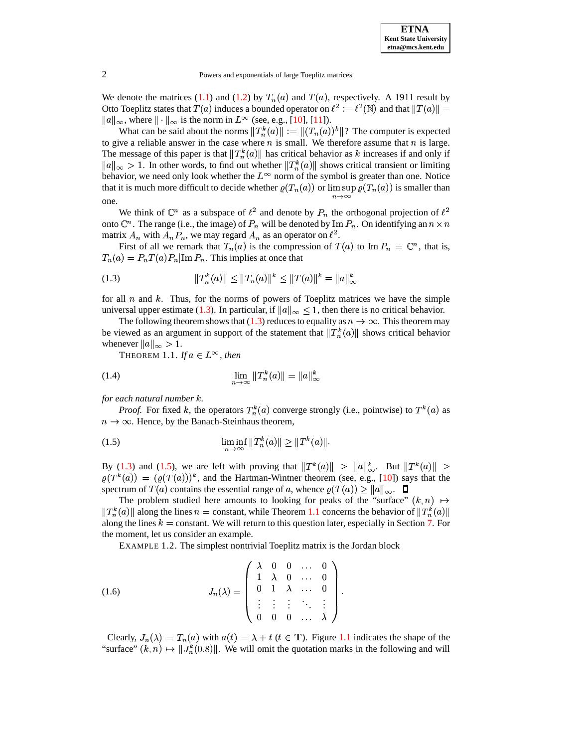

We denote the matrices [\(1.1\)](#page-0-0) and [\(1.2\)](#page-0-1) by  $T_n(a)$  and  $T(a)$ , respectively. A 1911 result by Otto Toeplitz states that  $T(a)$  induces a bounded operator on  $\ell^2 := \ell^2(\mathbb{N})$  and that  $||T(a)|| =$  $||a||_{\infty}$ , where  $||\cdot||_{\infty}$  is the norm in  $L^{\infty}$  (see, e.g., [\[10\]](#page-40-0), [\[11\]](#page-40-1)).

What can be said about the norms  $||T_n^k(a)|| := ||(T_n(a))^k||$ ? The computer is expected to give a reliable answer in the case where  $n$  is small. We therefore assume that  $n$  is large. The message of this paper is that  $||T_n^k(a)||$  has critical behavior as k increases if and only if  $\|a\|_{\infty} > 1$ . In other words, to find out whether  $\|T_n^k(a)\|$  shows critical transient or limiting behavior, we need only look whether the  $L^{\infty}$  norm of the symbol is greater than one. Notice that it is much more difficult to decide whether  $\varrho(T_n(a))$  or  $\limsup \varrho(T_n(a))$  is smaller than one.

We think of  $\mathbb{C}^n$  as a subspace of  $\ell^2$  and denote by  $P_n$  the orthogonal projection of  $\ell^2$ onto  $\mathbb{C}^n$ . The range (i.e., the image) of  $P_n$  will be denoted by Im  $P_n$ . On identifying an  $n \times n$ matrix  $A_n$  with  $A_n P_n$ , we may regard  $A_n$  as an operator on  $\ell^2$ .

<span id="page-1-0"></span>First of all we remark that  $T_n(a)$  is the compression of  $T(a)$  to Im  $P_n = \mathbb{C}^n$ , that is,  $T_n(a) = P_n T(a) P_n | \text{Im } P_n$ . This implies at once that

(1.3) 
$$
||T_n^k(a)|| \le ||T_n(a)||^k \le ||T(a)||^k = ||a||_{\infty}^k
$$

for all  $n$  and  $k$ . Thus, for the norms of powers of Toeplitz matrices we have the simple universal upper estimate [\(1.3\)](#page-1-0). In particular, if  $||a||_{\infty} \leq 1$ , then there is no critical behavior.

<span id="page-1-2"></span>The following theorem shows that [\(1.3\)](#page-1-0) reduces to equality as  $n \to \infty$ . This theorem may be viewed as an argument in support of the statement that  $||T_n^k(a)||$  shows critical behavior whenever  $||a||_{\infty} > 1$ .

<span id="page-1-4"></span>THEOREM 1.1. *If*  $a \in L^{\infty}$ , *then* 

(1.4) 
$$
\lim_{n \to \infty} ||T_n^k(a)|| = ||a||_{\infty}^k
$$

*for each natural number .*

<span id="page-1-1"></span>*Proof.* For fixed k, the operators  $T_n^k(a)$  converge strongly (i.e., pointwise) to  $T^k(a)$  as  $n \to \infty$ . Hence, by the Banach-Steinhaus theorem,

(1.5) 
$$
\liminf_{n \to \infty} ||T_n^k(a)|| \ge ||T^k(a)||.
$$

By [\(1.3\)](#page-1-0) and [\(1.5\)](#page-1-1), we are left with proving that  $||T^k(a)|| \ge ||a||^k_{\infty}$ . But  $||T^k(a)|| \ge ||a||^k_{\infty}$  $\varrho(T^k(a)) = (\varrho(T(a)))^k$ , and the Hartman-Wintner theorem (see, e.g., [\[10\]](#page-40-0)) says that the spectrum of  $T(a)$  contains the essential range of a, whence  $\varrho(T(a)) \geq ||a||_{\infty}$ .  $\Box$ 

The problem studied here amounts to looking for peaks of the "surface"  $(k, n) \mapsto$  $||T_n^k(a)||$  along the lines  $n =$  constant, while Theorem [1.1](#page-1-2) concerns the behavior of  $||T_n^k(a)||$ along the lines  $k =$  constant. We will return to this question later, especially in Section [7.](#page-23-0) For the moment, let us consider an example.

<span id="page-1-3"></span>EXAMPLE 1.2. The simplest nontrivial Toeplitz matrix is the Jordan block

(1.6) 
$$
J_n(\lambda) = \begin{pmatrix} \lambda & 0 & 0 & \dots & 0 \\ 1 & \lambda & 0 & \dots & 0 \\ 0 & 1 & \lambda & \dots & 0 \\ \vdots & \vdots & \vdots & \ddots & \vdots \\ 0 & 0 & 0 & \dots & \lambda \end{pmatrix}.
$$

Clearly,  $J_n(\lambda) = T_n(a)$  with  $a(t) = \lambda + t$  ( $t \in \mathbf{T}$ ). Figure [1.1](#page-35-0) indicates the shape of the "surface"  $(k, n) \mapsto ||J_n^k(0.8)||$ . We will omit the quotation marks in the following and will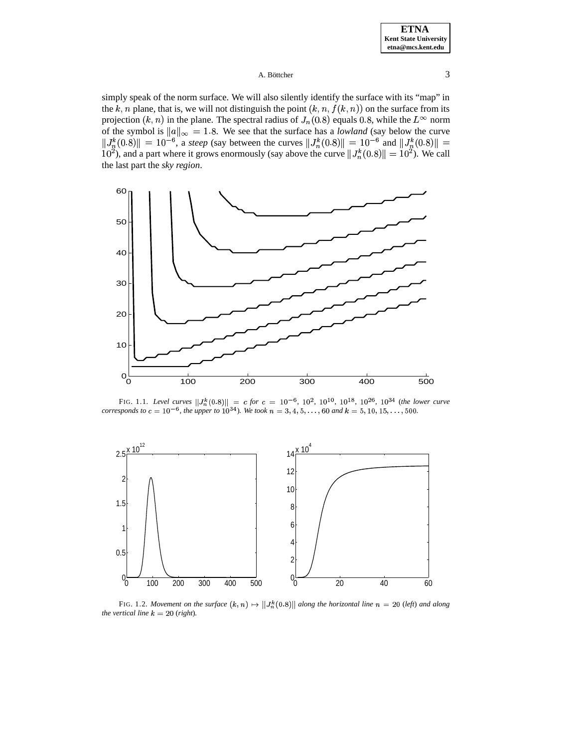### A. Böttcher  $\frac{3}{3}$

simply speak of the norm surface. We will also silently identify the surface with its "map" in the k, n plane, that is, we will not distinguish the point  $(k, n, f(k, n))$  on the surface from its projection  $(k, n)$  in the plane. The spectral radius of  $J_n(0.8)$  equals 0.8, while the  $L^{\infty}$  norm projection  $(k, n)$  in the plane. The spectral radius of  $J_n(0.8)$  equals 0.8, while the  $L^{\infty}$  norm of the symbol is  $||a||_{\infty} = 1.8$ . We see that the surface has a *lowland* (say below 8. We see that the surface has a *lowland* (say below the curve  $||J_n^k(0.8)|| = 10^{-8}$  $||\mathbf{I}|| = 10^{-6}$ , a *steep* (say between the curves  $||J_n^k(0.8)|| = 10^{-6}$  $|| = 10^{-6}$  and  $||J_n^k(0.8)|| =$  $||J_n^k(0.8)|| = 10^{-6}$ , a *steep* (say between the curves  $||J_n^k(0.8)|| = 10^{-6}$  and  $||J_n^k(0.8)|| = 10^2$ ), and a part where it grows enormously (say above the curve  $||J_n^k(0.8)|| = 10^2$ ). We call  $|| = 10^2$ ). We call the last part the *sky region*.



FIG. 1.1. Level curves  $||J_n^k(0.8)|| = c$  for  $c = 10^{-6}$ ,  $10^2$ ,  $10^{10}$ ,  $10^{18}$ ,  $10^{26}$ ,  $10^{34}$  (the lower curve *corresponds to*  $c = 10^{-6}$ *, the upper to*  $10^{34}$ *). We took*  $n = 3, 4, 5, \ldots, 60$  and  $k = 5, 10, 15, \ldots, 500$ .



FIG. 1.2. Movement on the surface  $(k, n) \mapsto ||J_n^k(0.8)||$  along the horizontal line  $n = 20$  (left) and along *the vertical line*  $k = 20$  (*right*).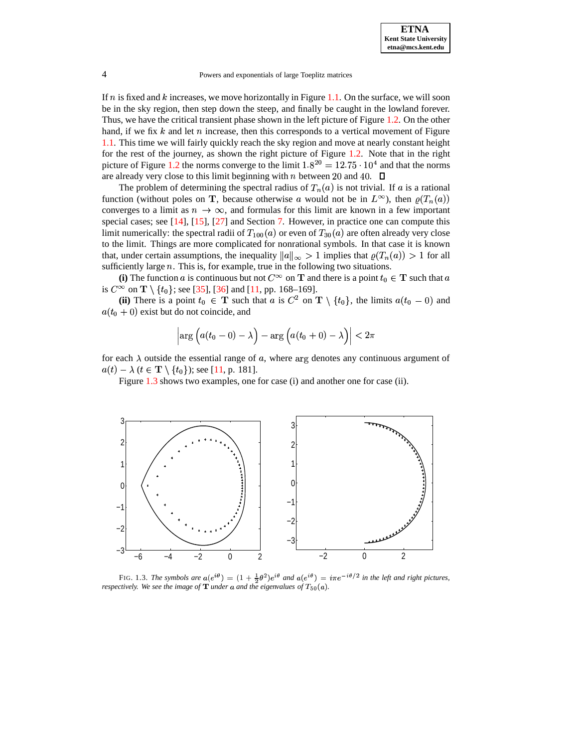If  $n$  is fixed and  $k$  increases, we move horizontally in Figure [1.1.](#page-35-0) On the surface, we will soon be in the sky region, then step down the steep, and finally be caught in the lowland forever. Thus, we have the critical transient phase shown in the left picture of Figure [1.2.](#page-31-0) On the other hand, if we fix  $k$  and let  $n$  increase, then this corresponds to a vertical movement of Figure [1.1.](#page-35-0) This time we will fairly quickly reach the sky region and move at nearly constant height for the rest of the journey, as shown the right picture of Figure [1.2.](#page-31-0) Note that in the right picture of Figure [1.2](#page-31-0) the norms converge to the limit  $1.8^{20} = 12.75 \cdot 10^4$  and that the norms are already very close to this limit beginning with  $n$  between 20 and 40.

The problem of determining the spectral radius of  $T_n(a)$  is not trivial. If a is a rational function (without poles on **T**, because otherwise a would not be in  $L^{\infty}$ ), then  $\varrho(T_n(a))$ converges to a limit as  $n \to \infty$ , and formulas for this limit are known in a few important special cases; see [\[14\]](#page-40-2), [\[15\]](#page-40-3), [\[27\]](#page-40-4) and Section [7.](#page-23-0) However, in practice one can compute this limit numerically: the spectral radii of  $T_{100}(a)$  or even of  $T_{30}(a)$  are often already very close to the limit. Things are more complicated for nonrational symbols. In that case it is known that, under certain assumptions, the inequality  $||a||_{\infty} > 1$  implies that  $\varrho(T_n(a)) > 1$  for all sufficiently large  $n$ . This is, for example, true in the following two situations.

(i) The function a is continuous but not  $C^{\infty}$  on **T** and there is a point  $t_0 \in$  **T** such that a is  $C^{\infty}$  on  $\mathbf{T} \setminus \{t_0\}$ ; see [\[35\]](#page-40-5), [\[36\]](#page-40-6) and [\[11,](#page-40-1) pp. 168–169].

**(ii)** There is a point  $t_0 \in \mathbf{T}$  such that a is  $C^2$  on  $\mathbf{T} \setminus \{t_0\}$ , the limits  $a(t_0 - 0)$  and  $a(t_0 + 0)$  exist but do not coincide, and

$$
\left| \arg \Big( a(t_0-0)-\lambda\Big) -\arg \Big( a(t_0+0)-\lambda\Big) \right| < 2\pi
$$

for each  $\lambda$  outside the essential range of a, where arg denotes any continuous argument of  $a(t) - \lambda (t \in \mathbf{T} \setminus \{t_0\})$ ; see [\[11,](#page-40-1) p. 181].

Figure [1.3](#page-31-1) shows two examples, one for case (i) and another one for case (ii).



FIG. 1.3. *The symbols are*  $a(e^{i\theta}) = (1 + \frac{1}{2}\theta^2)e^{i\theta}$  *and*  $a(e^{i\theta}) = i\pi e^{-i\theta/2}$  *in the left and right pictures, respectively.* We see the image of  $\mathbf{T}$  under  $a$  and the eigenvalues of  $T_{50}(a)$ .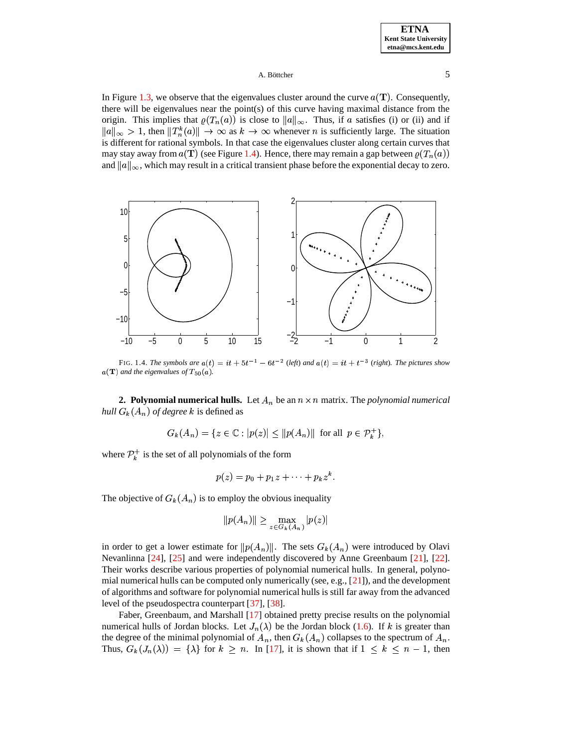### A. Böttcher  $\qquad \qquad$  5

In Figure [1.3,](#page-31-1) we observe that the eigenvalues cluster around the curve  $a(T)$ . Consequently, there will be eigenvalues near the point(s) of this curve having maximal distance from the origin. This implies that  $\varrho(T_n(a))$  is close to  $||a||_{\infty}$ . Thus, if a satisfies (i) or (ii) and if  $\|a\|_{\infty} > 1$ , then  $\|T_n^k(a)\| \to \infty$  as  $k \to \infty$  whenever n is sufficiently large. The situation is different for rational symbols. In that case the eigenvalues cluster along certain curves that may stay away from  $a(T)$  (see Figure [1.4\)](#page-32-0). Hence, there may remain a gap between  $\varrho(T_n(a))$ and  $||a||_{\infty}$ , which may result in a critical transient phase before the exponential decay to zero.



FIG. 1.4. The symbols are  $a(t) = it + 5t^{-1} - 6t^{-2}$  (left) and  $a(t) = it + t^{-3}$  (right). The pictures show  $a(T)$  and the eigenvalues of  $T_{50}(a)$ .

<span id="page-4-0"></span>**2. Polynomial numerical hulls.** Let  $A_n$  be an  $n \times n$  matrix. The *polynomial numerical hull*  $G_k(A_n)$  *of degree*  $k$  is defined as

$$
G_k(A_n) = \{ z \in \mathbb{C} : |p(z)| \le ||p(A_n)|| \text{ for all } p \in \mathcal{P}_k^+ \},
$$

where  $\mathcal{P}_{k}^{+}$  is the set of all polynomials of the form

$$
p(z) = p_0 + p_1 z + \cdots + p_k z^k.
$$

The objective of  $G_k(A_n)$  is to employ the obvious inequality

$$
||p(A_n)|| \ge \max_{z \in G_k(A_n)} |p(z)|
$$

in order to get a lower estimate for  $||p(A_n)||$ . The sets  $G_k(A_n)$  were introduced by Olavi Nevanlinna [\[24\]](#page-40-7), [\[25\]](#page-40-8) and were independently discovered by Anne Greenbaum [\[21\]](#page-40-9), [\[22\]](#page-40-10). Their works describe various properties of polynomial numerical hulls. In general, polynomial numerical hulls can be computed only numerically (see, e.g.,  $[21]$ ), and the development of algorithms and software for polynomial numerical hulls is still far away from the advanced level of the pseudospectra counterpart [\[37\]](#page-40-11), [\[38\]](#page-40-12).

Faber, Greenbaum, and Marshall [\[17\]](#page-40-13) obtained pretty precise results on the polynomial numerical hulls of Jordan blocks. Let  $J_n(\lambda)$  be the Jordan block [\(1.6\)](#page-1-3). If k is greater than the degree of the minimal polynomial of  $A_n$ , then  $G_k(A_n)$  collapses to the spectrum of  $A_n$ . Thus,  $G_k(J_n(\lambda)) = {\lambda}$  for  $k \geq n$ . In [\[17\]](#page-40-13), it is shown that if  $1 \leq k \leq n-1$ , then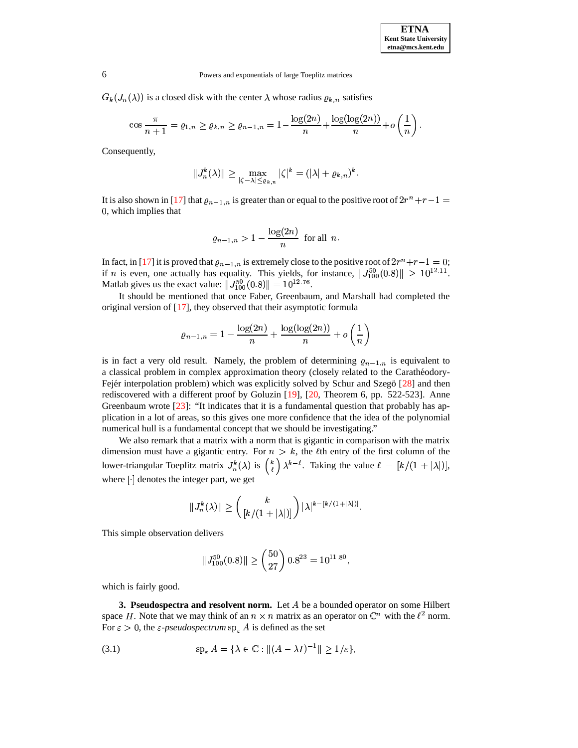$G_k(J_n(\lambda))$  is a closed disk with the center  $\lambda$  whose radius  $\varrho_{k,n}$  satisfies

$$
\cos \frac{\pi}{n+1} = \varrho_{1,n} \ge \varrho_{k,n} \ge \varrho_{n-1,n} = 1 - \frac{\log(2n)}{n} + \frac{\log(\log(2n))}{n} + o\left(\frac{1}{n}\right).
$$

Consequently,

$$
||J_n^k(\lambda)|| \ge \max_{|\zeta - \lambda| \le \varrho_{k,n}} |\zeta|^k = (|\lambda| + \varrho_{k,n})^k.
$$

It is also shown in [\[17\]](#page-40-13) that  $\varrho_{n-1,n}$  is greater than or equal to the positive root of  $2r^n+r-1=$ 0, which implies that

$$
\varrho_{n-1,n} > 1 - \frac{\log(2n)}{n} \text{ for all } n.
$$

In fact, in [\[17\]](#page-40-13) it is proved that  $\varrho_{n-1,n}$  is extremely close to the positive root of  $2r^n+r-1=0$ ; if *n* is even, one actually has equality. This yields, for instance,  $||J_{100}^{50}(0.8)|| \geq 10^{12}$  $\| \geq 10^{12.11}.$ Matlab gives us the exact value:  $||J_{100}^{50}(0.8)|| = 10^{12.76}$ .

It should be mentioned that once Faber, Greenbaum, and Marshall had completed the original version of [\[17\]](#page-40-13), they observed that their asymptotic formula

$$
\varrho_{n-1,n}=1-\frac{\log(2n)}{n}+\frac{\log(\log(2n))}{n}+o\left(\frac{1}{n}\right)
$$

is in fact a very old result. Namely, the problem of determining  $\varrho_{n-1,n}$  is equivalent to a classical problem in complex approximation theory (closely related to the Carathéodory-Fejér interpolation problem) which was explicitly solved by Schur and Szegö [\[28\]](#page-40-14) and then rediscovered with a different proof by Goluzin [\[19\]](#page-40-15), [\[20,](#page-40-16) Theorem 6, pp. 522-523]. Anne Greenbaum wrote [\[23\]](#page-40-17): "It indicates that it is a fundamental question that probably has application in a lot of areas, so this gives one more confidence that the idea of the polynomial numerical hull is a fundamental concept that we should be investigating."

We also remark that a matrix with a norm that is gigantic in comparison with the matrix dimension must have a gigantic entry. For  $n > k$ , the  $\ell$ th entry of the first column of the lower-triangular Toeplitz matrix  $J_n^k(\lambda)$  is  $\binom{k}{\ell} \lambda^{k-\ell}$ . Taking the value  $\ell = [k/(1+|\lambda|)],$ where denotes the integer part, we get

$$
||J_n^k(\lambda)|| \geq \binom{k}{[k/(1+|\lambda|)]} |\lambda|^{k-[k/(1+|\lambda|)]}.
$$

This simple observation delivers

<span id="page-5-0"></span>
$$
||J_{100}^{50}(0.8)|| \ge \binom{50}{27} 0.8^{23} = 10^{11.80},
$$

which is fairly good.

**3. Pseudospectra and resolvent norm.** Let A be a bounded operator on some Hilbert space H. Note that we may think of an  $n \times n$  matrix as an operator on  $\mathbb{C}^n$  with the  $\ell^2$  norm. For  $\varepsilon > 0$ , the  $\varepsilon$ -*pseudospectrum*  $sp_{\varepsilon} A$  is defined as the set

$$
\text{(3.1)} \quad \text{sp}_{\varepsilon} A = \{ \lambda \in \mathbb{C} : \| (A - \lambda I)^{-1} \| \ge 1/\varepsilon \},
$$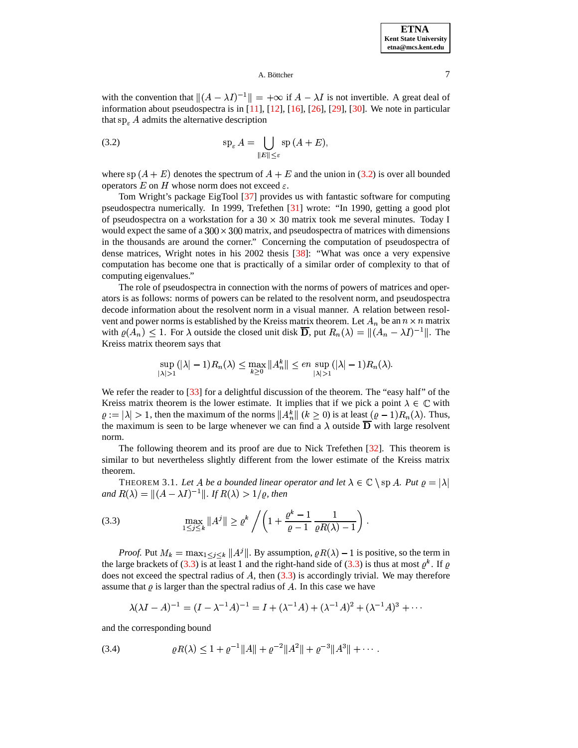### <span id="page-6-0"></span>A. Böttcher  $\overline{7}$

with the convention that  $\|(A - \lambda I)^{-1}\| = +\infty$  if  $A - \lambda I$  is not invertible. A great deal of information about pseudospectra is in [\[11\]](#page-40-1), [\[12\]](#page-40-18), [\[16\]](#page-40-19), [\[26\]](#page-40-20), [\[29\]](#page-40-21), [\[30\]](#page-40-22). We note in particular that  $sp_{\varepsilon} A$  admits the alternative description

(3.2) 
$$
\mathrm{sp}_{\varepsilon} A = \bigcup_{\|E\| \leq \varepsilon} \mathrm{sp}(A + E),
$$

where sp  $(A + E)$  denotes the spectrum of  $A + E$  and the union in [\(3.2\)](#page-6-0) is over all bounded operators  $E$  on  $H$  whose norm does not exceed  $\varepsilon$ .

Tom Wright's package EigTool [\[37\]](#page-40-11) provides us with fantastic software for computing pseudospectra numerically. In 1999, Trefethen [\[31\]](#page-40-23) wrote: "In 1990, getting a good plot of pseudospectra on a workstation for a  $30 \times 30$  matrix took me several minutes. Today I would expect the same of a  $300 \times 300$  matrix, and pseudospectra of matrices with dimensions in the thousands are around the corner." Concerning the computation of pseudospectra of dense matrices, Wright notes in his 2002 thesis [\[38\]](#page-40-12): "What was once a very expensive computation has become one that is practically of a similar order of complexity to that of computing eigenvalues."

The role of pseudospectra in connection with the norms of powers of matrices and operators is as follows: norms of powers can be related to the resolvent norm, and pseudospectra decode information about the resolvent norm in a visual manner. A relation between resolvent and power norms is established by the Kreiss matrix theorem. Let  $A_n$  be an  $n \times n$  matrix with  $\rho(A_n) \leq 1$ . For  $\lambda$  outside the closed unit disk **D**, put  $R_n(\lambda) = ||(A_n - \lambda I)^{-1}||$ . The Kreiss matrix theorem says that

$$
\sup_{|\lambda|>1}(|\lambda|-1)R_n(\lambda) \le \max_{k\ge 0} \|A_n^k\| \le en \sup_{|\lambda|>1}(|\lambda|-1)R_n(\lambda).
$$

We refer the reader to [\[33\]](#page-40-24) for a delightful discussion of the theorem. The "easy half" of the Kreiss matrix theorem is the lower estimate. It implies that if we pick a point  $\lambda \in \mathbb{C}$  with  $\varrho := |\lambda| > 1$ , then the maximum of the norms  $||A_n^k||$   $(k \ge 0)$  is at least  $(\varrho - 1)R_n(\lambda)$ . Thus, the maximum is seen to be large whenever we can find a  $\lambda$  outside  $\overline{D}$  with large resolvent norm.

The following theorem and its proof are due to Nick Trefethen [\[32\]](#page-40-25). This theorem is similar to but nevertheless slightly different from the lower estimate of the Kreiss matrix theorem.

<span id="page-6-3"></span><span id="page-6-1"></span>THEOREM 3.1. Let A be a bounded linear operator and let  $\lambda \in \mathbb{C} \setminus \text{sp } A$ . Put  $\varrho = |\lambda|$ and  $R(\lambda) = ||(A - \lambda I)^{-1}||$ . If  $R(\lambda) > 1/\varrho$ , then

(3.3) 
$$
\max_{1 \le j \le k} \|A^j\| \ge \varrho^k / \left(1 + \frac{\varrho^k - 1}{\varrho - 1} \frac{1}{\varrho R(\lambda) - 1}\right).
$$

*Proof.* Put  $M_k = \max_{1 \leq j \leq k} ||A^j||$ . By assumption,  $\varrho R(\lambda) - 1$  is positive, so the term in the large brackets of [\(3.3\)](#page-6-1) is at least 1 and the right-hand side of (3.3) is thus at most  $\varrho^k$ . If  $\varrho$ does not exceed the spectral radius of  $A$ , then  $(3.3)$  is accordingly trivial. We may therefore assume that  $\varrho$  is larger than the spectral radius of A. In this case we have

<span id="page-6-2"></span>
$$
\lambda(\lambda I - A)^{-1} = (I - \lambda^{-1}A)^{-1} = I + (\lambda^{-1}A) + (\lambda^{-1}A)^2 + (\lambda^{-1}A)^3 + \cdots
$$

and the corresponding bound

(3.4) 
$$
\varrho R(\lambda) \leq 1 + \varrho^{-1} \|A\| + \varrho^{-2} \|A^2\| + \varrho^{-3} \|A^3\| + \cdots.
$$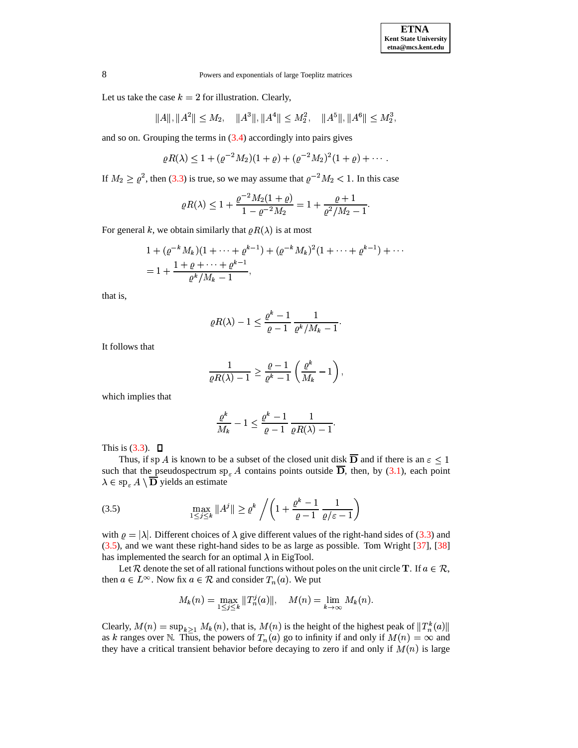Let us take the case  $k = 2$  for illustration. Clearly,

$$
||A||, ||A^2|| \le M_2, \quad ||A^3||, ||A^4|| \le M_2^2, \quad ||A^5||, ||A^6|| \le M_2^3,
$$

and so on. Grouping the terms in  $(3.4)$  accordingly into pairs gives

$$
\varrho R(\lambda) \le 1 + (\varrho^{-2} M_2)(1+\varrho) + (\varrho^{-2} M_2)^2 (1+\varrho) + \cdots.
$$

If  $M_2 \ge \varrho^2$ , then [\(3.3\)](#page-6-1) is true, so we may assume that  $\varrho^{-2} M_2 < 1$ . In this case

$$
\varrho R(\lambda) \leq 1 + \frac{\varrho^{-2} M_2(1+\varrho)}{1-\varrho^{-2} M_2} = 1 + \frac{\varrho+1}{\varrho^2/M_2-1}.
$$

For general k, we obtain similarly that  $\varrho R(\lambda)$  is at most

$$
1 + (\varrho^{-k} M_k)(1 + \dots + \varrho^{k-1}) + (\varrho^{-k} M_k)^2 (1 + \dots + \varrho^{k-1}) + \dots
$$
  
= 
$$
1 + \frac{1 + \varrho + \dots + \varrho^{k-1}}{\varrho^k / M_k - 1},
$$

that is,

$$
\varrho R(\lambda)-1\leq \frac{\varrho^k-1}{\varrho-1}\,\frac{1}{\varrho^k/M_k-1}.
$$

It follows that

$$
\frac{1}{\varrho R(\lambda)-1}\geq \frac{\varrho-1}{\varrho^k-1}\left(\frac{\varrho^k}{M_k}-1\right),
$$

which implies that

$$
\frac{\varrho^k}{M_k}-1\leq \frac{\varrho^k-1}{\varrho-1}\,\frac{1}{\varrho R(\lambda)-1}.
$$

This is  $(3.3)$ .  $\Box$ 

<span id="page-7-0"></span>Thus, if sp A is known to be a subset of the closed unit disk **D** and if there is an  $\varepsilon \leq 1$ such that the pseudospectrum  $sp_{\varepsilon} A$  contains points outside **D**, then, by [\(3.1\)](#page-5-0), each point  $\lambda \in sp_{\varepsilon} A \setminus \mathbf{D}$  yields an estimate

$$
\max_{1 \le j \le k} \|A^j\| \ge \varrho^k / \left(1 + \frac{\varrho^k - 1}{\varrho - 1} \frac{1}{\varrho/\varepsilon - 1}\right)
$$

with  $\varrho = |\lambda|$ . Different choices of  $\lambda$  give different values of the right-hand sides of [\(3.3\)](#page-6-1) and [\(3.5\)](#page-7-0), and we want these right-hand sides to be as large as possible. Tom Wright [\[37\]](#page-40-11), [\[38\]](#page-40-12) has implemented the search for an optimal  $\lambda$  in EigTool.

Let  $\mathcal R$  denote the set of all rational functions without poles on the unit circle **T**. If  $a \in \mathcal R$ , then  $a \in L^{\infty}$ . Now fix  $a \in \mathcal{R}$  and consider  $T_n(a)$ . We put

$$
M_k(n) = \max_{1 \leq j \leq k} ||T_n^j(a)||, \quad M(n) = \lim_{k \to \infty} M_k(n).
$$

Clearly,  $M(n) = \sup_{k>1} M_k(n)$ , that is,  $M(n)$  is the height of the highest peak of  $||T_n^k(a)||$ as k ranges over N. Thus, the powers of  $T_n(a)$  go to infinity if and only if  $M(n) = \infty$  and they have a critical transient behavior before decaying to zero if and only if  $M(n)$  is large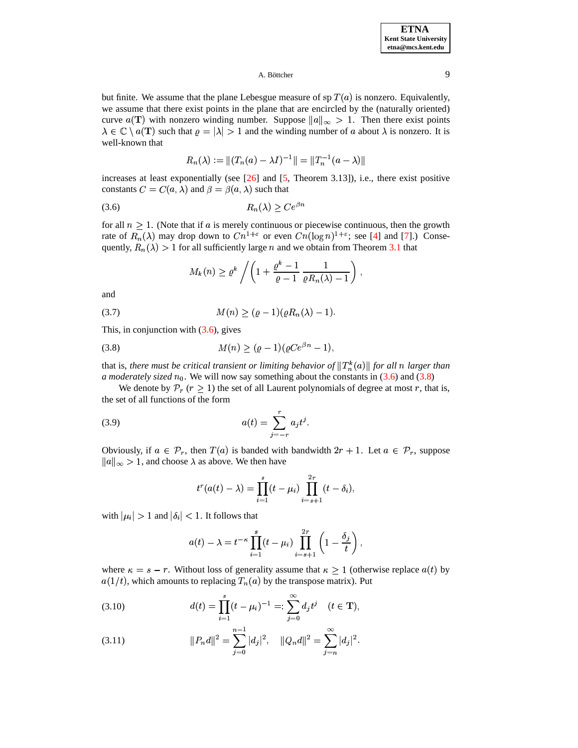### A. Böttcher  $\qquad \qquad 9$

but finite. We assume that the plane Lebesgue measure of  $\operatorname{sp} T(a)$  is nonzero. Equivalently, we assume that there exist points in the plane that are encircled by the (naturally oriented) curve  $a(T)$  with nonzero winding number. Suppose  $||a||_{\infty} > 1$ . Then there exist points  $\lambda \in \mathbb{C} \setminus a(T)$  such that  $\varrho = |\lambda| > 1$  and the winding number of a about  $\lambda$  is nonzero. It is well-known that

<span id="page-8-0"></span>
$$
R_n(\lambda) := \|(T_n(a) - \lambda I)^{-1}\| = \|T_n^{-1}(a - \lambda)\|
$$

increases at least exponentially (see [\[26\]](#page-40-20) and [\[5,](#page-39-0) Theorem 3.13]), i.e., there exist positive constants  $C = C(a, \lambda)$  and  $\beta = \beta(a, \lambda)$  such that

$$
(3.6) \t\t R_n(\lambda) \ge Ce^{\beta n}
$$

for all  $n \geq 1$ . (Note that if a is merely continuous or piecewise continuous, then the growth rate of  $R_n(\lambda)$  may drop down to  $Cn^{1+\varepsilon}$  or even  $Cn(\log n)^{1+\varepsilon}$ ; see [\[4\]](#page-39-1) and [\[7\]](#page-39-2).) Consequently,  $R_n(\lambda) > 1$  for all sufficiently large n and we obtain from Theorem [3.1](#page-6-3) that

<span id="page-8-1"></span>
$$
M_k(n) \geq \varrho^k \left/ \left(1 + \frac{\varrho^k - 1}{\varrho - 1} \frac{1}{\varrho R_n(\lambda) - 1}\right),\right.
$$

<span id="page-8-3"></span>and

(3.7) 
$$
M(n) \ge (e-1)(eR_n(\lambda) - 1).
$$

This, in conjunction with  $(3.6)$ , gives

(3.8) 
$$
M(n) \geq (\varrho - 1)(\varrho C e^{\beta n} - 1),
$$

that is, *there must be critical transient or limiting behavior of*  $||T_n^k(a)||$  for all n larger than *a* moderately sized  $n_0$ . We will now say something about the constants in [\(3.6\)](#page-8-0) and [\(3.8\)](#page-8-1)

We denote by  $\mathcal{P}_r$  ( $r \geq 1$ ) the set of all Laurent polynomials of degree at most r, that is, the set of all functions of the form

(3.9) 
$$
a(t) = \sum_{j=-r}^{r} a_j t^j.
$$

Obviously, if  $a \in \mathcal{P}_r$ , then  $T(a)$  is banded with bandwidth  $2r + 1$ . Let  $a \in \mathcal{P}_r$ , suppose  $\|a\|_{\infty} > 1$ , and choose  $\lambda$  as above. We then have

$$
t^{r}(a(t)-\lambda) = \prod_{i=1}^{s}(t-\mu_{i})\prod_{i=s+1}^{2r}(t-\delta_{i}),
$$

with  $|\mu_i| > 1$  and  $|\delta_i| < 1$ . It follows that

$$
a(t) - \lambda = t^{-\kappa} \prod_{i=1}^s (t - \mu_i) \prod_{i=s+1}^{2r} \left(1 - \frac{\delta_j}{t}\right),
$$

where  $\kappa = s - r$ . Without loss of generality assume that  $\kappa \ge 1$  (otherwise replace  $a(t)$  by  $a(1/t)$ , which amounts to replacing  $T_n(a)$  by the transpose matrix). Put

<span id="page-8-2"></span>(3.10) 
$$
d(t) = \prod_{i=1}^{s} (t - \mu_i)^{-1} =: \sum_{j=0}^{\infty} d_j t^j \quad (t \in \mathbf{T}),
$$

(3.11) 
$$
||P_n d||^2 = \sum_{j=0}^{n-1} |d_j|^2, \quad ||Q_n d||^2 = \sum_{j=n}^{\infty} |d_j|^2.
$$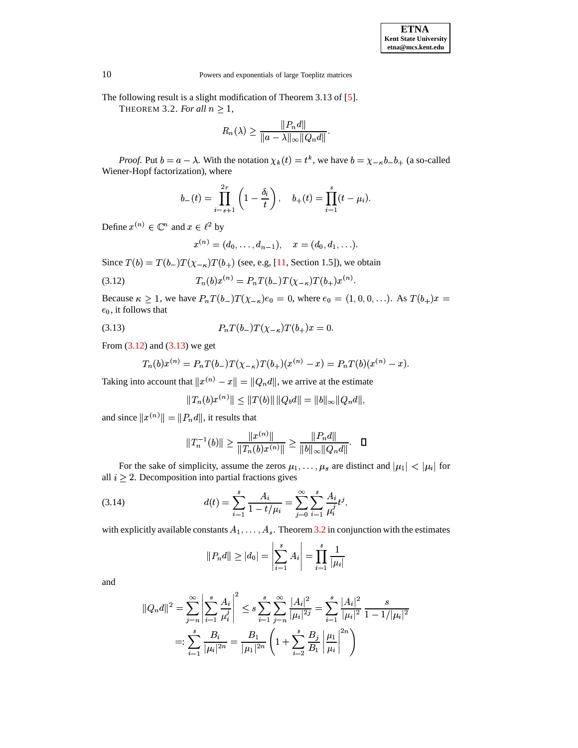<span id="page-9-2"></span>The following result is a slight modification of Theorem 3.13 of [\[5\]](#page-39-0).

THEOREM 3.2. *For all*  $n \geq 1$ ,

$$
R_n(\lambda) \ge \frac{\|P_n d\|}{\|a - \lambda\|_{\infty} \|Q_n d\|}.
$$

*Proof.* Put  $b = a - \lambda$ . With the notation  $\chi_k(t) = t^k$ , we have  $b = \chi_{-k}b - b_+$  (a so-called Wiener-Hopf factorization), where

$$
b_{-}(t) = \prod_{i=s+1}^{2r} \left(1 - \frac{\delta_i}{t}\right), \quad b_{+}(t) = \prod_{i=1}^{s} (t - \mu_i).
$$

Define  $x^{(n)} \in \mathbb{C}^n$  and  $x \in \ell^2$  by

<span id="page-9-0"></span>
$$
x^{(n)}=(d_0,\dots,d_{n-1}),\quad x=(d_0,d_1,\ldots).
$$

Since  $T(b) = T(b_-)T(\chi_{-\kappa})T(b_+)$  (see, e.g, [\[11,](#page-40-1) Section 1.5]), we obtain

(3.12) 
$$
T_n(b)x^{(n)} = P_nT(b_-)T(\chi_{-\kappa})T(b_+)x^{(n)}.
$$

<span id="page-9-1"></span>Because  $\kappa \geq 1$ , we have  $P_n T(b_-) T(\chi_{-\kappa}) e_0 = 0$ , where  $e_0 = (1, 0, 0, \ldots)$ . As  $T(b_+)x = e_0$ , it follows that  $e_0$ , it follows that

(3.13) 
$$
P_n T(b_-) T(\chi_{-\kappa}) T(b_+) x = 0.
$$

From [\(3.12\)](#page-9-0) and [\(3.13\)](#page-9-1) we get

$$
T_n(b)x^{(n)} = P_nT(b_-)T(\chi_{-\kappa})T(b_+)(x^{(n)} - x) = P_nT(b)(x^{(n)} - x).
$$

Taking into account that  $||x^{(n)} - x|| = ||Q_n d||$ , we arrive at the estimate

$$
||T_n(b)x^{(n)}|| \le ||T(b)|| \, ||Q_b d|| = ||b||_{\infty} ||Q_n d||,
$$

and since  $||x^{(n)}|| = ||P_n d||$ , it results that

<span id="page-9-3"></span>
$$
||T_n^{-1}(b)|| \ge \frac{||x^{(n)}||}{||T_n(b)x^{(n)}||} \ge \frac{||P_n d||}{||b||_{\infty}||Q_n d||}. \quad \Box
$$

For the sake of simplicity, assume the zeros  $\mu_1, \dots, \mu_s$  are distinct and  $|\mu_1| < |\mu_i|$  for <br>> 2. Decomposition into partial fractions gives all  $i \geq 2$ . Decomposition into partial fractions gives

(3.14) 
$$
d(t) = \sum_{i=1}^{s} \frac{A_i}{1 - t/\mu_i} = \sum_{j=0}^{\infty} \sum_{i=1}^{s} \frac{A_i}{\mu_i^j} t^j,
$$

with explicitly available constants  $A_1, \ldots, A_s$ . Theorem [3.2](#page-9-2) in conjunction with the estimates

$$
\|P_nd\|\ge |d_0|=\left|\sum_{i=1}^s A_i\right|=\prod_{i=1}^s \frac{1}{|\mu_i|}
$$

and

$$
||Q_n d||^2 = \sum_{j=n}^{\infty} \left| \sum_{i=1}^s \frac{A_i}{\mu_i^j} \right|^2 \le s \sum_{i=1}^s \sum_{j=n}^{\infty} \frac{|A_i|^2}{|\mu_i|^2 j} = \sum_{i=1}^s \frac{|A_i|^2}{|\mu_i|^2} \frac{s}{1 - 1/|\mu_i|^2}
$$
  
=: 
$$
\sum_{i=1}^s \frac{B_i}{|\mu_i|^2 n} = \frac{B_1}{|\mu_1|^2 n} \left(1 + \sum_{i=2}^s \frac{B_j}{B_1} \left| \frac{\mu_1}{\mu_i} \right|^{2n} \right)
$$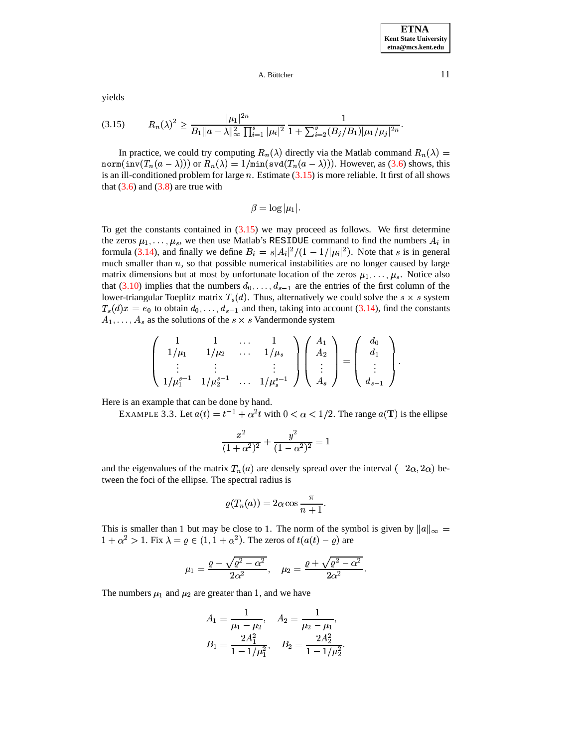<span id="page-10-0"></span>yields

$$
(3.15) \t R_n(\lambda)^2 \ge \frac{|\mu_1|^{2n}}{B_1||a - \lambda||_\infty^2 \prod_{i=1}^s |\mu_i|^2} \frac{1}{1 + \sum_{i=2}^s (B_j/B_1)|\mu_1/\mu_j|^{2n}}.
$$

In practice, we could try computing  $R_n(\lambda)$  directly via the Matlab command  $R_n(\lambda) =$  $\texttt{norm}(\texttt{inv}(T_n(a-\lambda)))$  or  $R_n(\lambda)=1/\texttt{min}(\texttt{svd}(T_n(a-\lambda))).$  However, as [\(3.6\)](#page-8-0) shows, this is an ill-conditioned problem for large  $n$ . Estimate  $(3.15)$  is more reliable. It first of all shows that  $(3.6)$  and  $(3.8)$  are true with

$$
\beta = \log |\mu_1|.
$$

To get the constants contained in  $(3.15)$  we may proceed as follows. We first determine the zeros  $\mu_1, \ldots, \mu_s$ , we then use Matlab's RESIDUE command to find the numbers  $A_i$  in formula [\(3.14\)](#page-9-3), and finally we define  $B_i = s|A_i|^2/(1-1/|\mu_i|^2)$ . Note that *s* is in general much smaller than  $n$ , so that possible numerical instabilities are no longer caused by large matrix dimensions but at most by unfortunate location of the zeros  $\mu_1, \ldots, \mu_s$ . Notice also that  $(3.10)$  implies that the numbers  $d_0, \ldots, d_{s-1}$  are the entries of the first column of the  $\lim_{s \to \infty} \frac{S(S, V)}{\log N}$  in prices that the numbers  $u_0, \dots, u_{s-1}$  are the entries of the first column of the  $T_s(d)x = e_0$  to obtain  $d_0, \ldots, d_{s-1}$  and then, taking into account [\(3.14\)](#page-9-3), find the constants  $A_1, \ldots, A_s$  as the solutions of the  $s \times s$  Vandermonde system  $A_1, \ldots, A_s$  as the solutions of the  $s \times s$  Vandermonde system

$$
\left(\begin{array}{cccc}1 & 1 & \ldots & 1 \\ 1/\mu_1 & 1/\mu_2 & \ldots & 1/\mu_s \\ \vdots & \vdots & & \vdots \\ 1/\mu_1^{s-1} & 1/\mu_2^{s-1} & \ldots & 1/\mu_s^{s-1}\end{array}\right)\left(\begin{array}{c}A_1 \\ A_2 \\ \vdots \\ A_s\end{array}\right)=\left(\begin{array}{c}d_0 \\ d_1 \\ \vdots \\ d_{s-1}\end{array}\right).
$$

Here is an example that can be done by hand.

EXAMPLE 3.3. Let  $a(t) = t^{-1} + \alpha^2 t$  with  $0 < \alpha < 1/2$ . The range  $a(T)$  is the ellipse

$$
\frac{x^2}{(1+\alpha^2)^2} + \frac{y^2}{(1-\alpha^2)^2} = 1
$$

and the eigenvalues of the matrix  $T_n(a)$  are densely spread over the interval  $(-2\alpha, 2\alpha)$  be-<br>tween the foci of the ellipse. The spectral radius is tween the foci of the ellipse. The spectral radius is

$$
\varrho(T_n(a)) = 2\alpha \cos \frac{\pi}{n+1}.
$$

This is smaller than 1 but may be close to 1. The norm of the symbol is given by  $||a||_{\infty} =$  $1 + \alpha^2 > 1$ . Fix  $\lambda = \varrho \in (1, 1 + \alpha^2)$ . The zeros of  $t(a(t) - \varrho)$  are

$$
\mu_1 = \frac{\varrho - \sqrt{\varrho^2 - \alpha^2}}{2\alpha^2}, \quad \mu_2 = \frac{\varrho + \sqrt{\varrho^2 - \alpha^2}}{2\alpha^2}.
$$

The numbers  $\mu_1$  and  $\mu_2$  are greater than 1, and we have

$$
A_1 = \frac{1}{\mu_1 - \mu_2}, \quad A_2 = \frac{1}{\mu_2 - \mu_1},
$$
  

$$
B_1 = \frac{2A_1^2}{1 - 1/\mu_1^2}, \quad B_2 = \frac{2A_2^2}{1 - 1/\mu_2^2}.
$$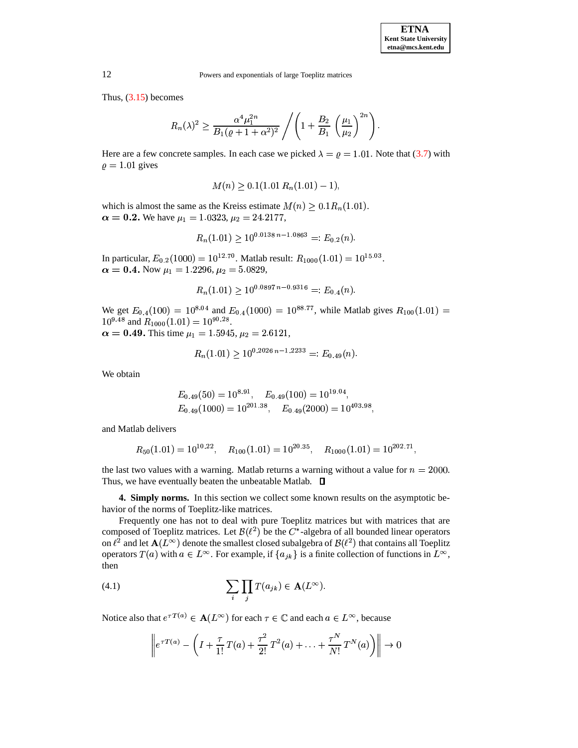Thus,  $(3.15)$  becomes

$$
R_n(\lambda)^2 \ge \frac{\alpha^4 \mu_1^{2n}}{B_1(\varrho + 1 + \alpha^2)^2} / \left(1 + \frac{B_2}{B_1} \left(\frac{\mu_1}{\mu_2}\right)^{2n}\right).
$$

Here are a few concrete samples. In each case we picked  $\lambda = \varrho = 1.01$ . Note that [\(3.7\)](#page-8-3) with  $\rho = 1.01$  gives

$$
M(n) \geq 0.1(1.01 R_n(1.01) - 1),
$$

which is almost the same as the Kreiss estimate  $M(n) \geq 0.1 R_n(1.01)$ .  $\alpha = 0.2$ . We have  $\mu_1 = 1.0323, \mu_2 = 24.2177,$ 

$$
R_n(1.01) \ge 10^{0.0138 n - 1.0863} =: E_{0.2}(n).
$$

In particular,  $E_{0.2}(1000) = 10^{12.70}$ . Matlab result:  $R_{1000}(1.01) = 10^{15.03}$ .  $\alpha = 0.4$ . Now  $\mu_1 = 1.2296$ ,  $\mu_2 = 5.0829$ ,

$$
R_n(1.01) \ge 10^{0.0897 n - 0.9316} =: E_{0.4}(n).
$$

We get  $E_{0.4}(100) = 10^{8.04}$  and  $E_{0.4}(1000) = 10^{88.77}$ , while Matlab gives  $R_{100}(1.01) =$  $10^{9.48}$  and  $R_{1000}(1.01) = 10^{90.28}$ .  $\alpha = 0.49$ . This time  $\mu_1 = 1.5945$ ,  $\mu_2 = 2.6121$ ,

$$
R_n(1.01) \ge 10^{0.2026 n - 1.2233} =: E_{0.49}(n).
$$

We obtain

$$
E_{0.49}(50) = 10^{8.91}, \quad E_{0.49}(100) = 10^{19.04}, E_{0.49}(1000) = 10^{201.38}, \quad E_{0.49}(2000) = 10^{403.98},
$$

and Matlab delivers

$$
R_{50}(1.01) = 10^{10.22}
$$
,  $R_{100}(1.01) = 10^{20.35}$ ,  $R_{1000}(1.01) = 10^{202.71}$ ,

the last two values with a warning. Matlab returns a warning without a value for  $n = 2000$ . Thus, we have eventually beaten the unbeatable Matlab.  $\square$ 

**4. Simply norms.** In this section we collect some known results on the asymptotic behavior of the norms of Toeplitz-like matrices.

Frequently one has not to deal with pure Toeplitz matrices but with matrices that are composed of Toeplitz matrices. Let  $\mathcal{B}(\ell^2)$  be the  $C^*$ -algebra of all bounded linear operators on  $\ell^2$  and let  ${\bf A}(L^\infty)$  denote the smallest closed subalgebra of  ${\cal B}(\ell^2)$  that contains all Toeplitz operators  $T(a)$  with  $a \in L^{\infty}$ . For example, if  $\{a_{jk}\}\$ is a finite collection of functions in  $L^{\infty}$ , then

<span id="page-11-0"></span>(4.1) 
$$
\sum_{i} \prod_{j} T(a_{jk}) \in \mathbf{A}(L^{\infty}).
$$

Notice also that  $e^{\tau T(a)} \in \mathbf{A}(L^{\infty})$  for each  $\tau \in \mathbb{C}$  and each  $a \in L^{\infty}$ , because

$$
\left\| e^{\tau T(a)} - \left( I + \frac{\tau}{1!} T(a) + \frac{\tau^2}{2!} T^2(a) + \ldots + \frac{\tau^N}{N!} T^N(a) \right) \right\| \to 0
$$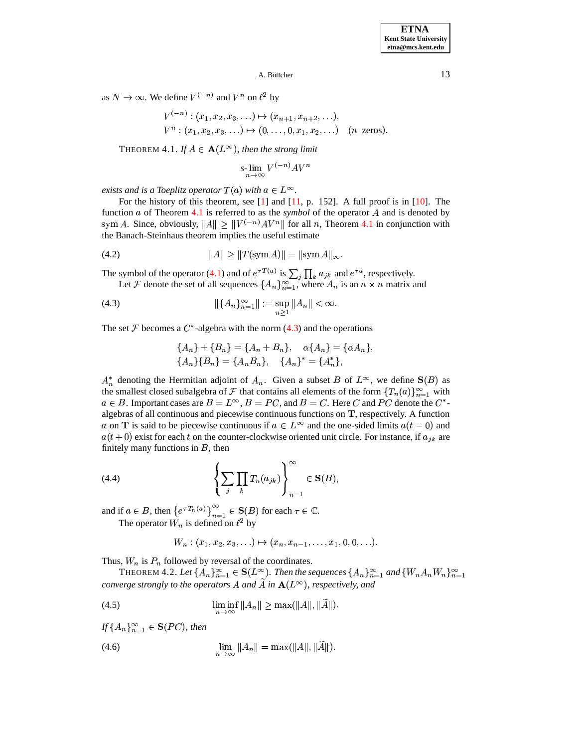<span id="page-12-0"></span>as  $N \to \infty$ . We define  $V^{(-n)}$  and  $V^n$  on  $\ell^2$  by

$$
V^{(-n)} : (x_1, x_2, x_3, \ldots) \mapsto (x_{n+1}, x_{n+2}, \ldots),
$$
  
\n
$$
V^n : (x_1, x_2, x_3, \ldots) \mapsto (0, \ldots, 0, x_1, x_2, \ldots) \quad (n \text{ zeros}).
$$

THEOREM  $4.1$ *. If*  $A \in \mathbf{A}(L^{\infty})$ *, then the strong limit* 

<span id="page-12-5"></span><span id="page-12-1"></span>
$$
s\text{-}\lim_{n\to\infty} V^{(-n)}AV^n
$$

*exists and is a Toeplitz operator*  $T(a)$  *with*  $a \in L^{\infty}$ .

For the history of this theorem, see [\[1\]](#page-39-3) and [\[11,](#page-40-1) p. 152]. A full proof is in [\[10\]](#page-40-0). The function  $a$  of Theorem [4.1](#page-12-0) is referred to as the *symbol* of the operator  $A$  and is denoted by sym A. Since, obviously,  $||A|| \ge ||V^{(-n)}AV^n||$  for all n, Theorem [4.1](#page-12-0) in conjunction with the Banach-Steinhaus theorem implies the useful estimate

(4.2) 
$$
||A|| \ge ||T(\text{sym } A)|| = ||\text{sym } A||_{\infty}.
$$

The symbol of the operator [\(4.1\)](#page-11-0) and of  $e^{\tau T(a)}$  is  $\sum_i \prod_k a_{jk}$  and  $e^{\tau a}$ , respectively.

Let F denote the set of all sequences  $\{A_n\}_{n=1}^{\infty}$ , where  $A_n$  is an  $n \times n$  matrix and

(4.3) 
$$
\| \{ A_n \}_{n=1}^{\infty} \| := \sup_{n \ge 1} \| A_n \| < \infty.
$$

The set  $\mathcal F$  becomes a  $C^*$ -algebra with the norm [\(4.3\)](#page-12-1) and the operations

$$
\{A_n\} + \{B_n\} = \{A_n + B_n\}, \quad \alpha \{A_n\} = \{\alpha A_n\},
$$
  

$$
\{A_n\} \{B_n\} = \{A_n B_n\}, \quad \{A_n\}^* = \{A_n^*\},
$$

 $A_n^*$  denoting the Hermitian adjoint of  $A_n$ . Given a subset B of  $L^{\infty}$ , we define  $S(B)$  as the smallest closed subalgebra of F that contains all elements of the form  $\{T_n(a)\}_{n=1}^{\infty}$  with  $a \in B$ . Important cases are  $B = L^{\infty}$ ,  $B = PC$ , and  $B = C$ . Here C and PC denote the C<sup>\*</sup>algebras of all continuous and piecewise continuous functions on  $T$ , respectively. A function a on **T** is said to be piecewise continuous if  $a \in L^{\infty}$  and the one-sided limits  $a(t-0)$  and  $a(t+0)$  exist for each t on the counter-clockwise oriented unit circle. For instance, if  $a_{ik}$  are finitely many functions in  $B$ , then

<span id="page-12-4"></span>(4.4) 
$$
\left\{\sum_{j}\prod_{k}T_{n}(a_{jk})\right\}_{n=1}^{\infty}\in\mathbf{S}(B),
$$

and if  $a \in B$ , then  $\{e^{\tau T_n(a)}\}_{n=1}^{\infty} \in \mathbf{S}(B)$  for each  $\tau \in \mathbb{C}$ .

The operator  $W_n$  is defined on  $\ell^2$  by

<span id="page-12-2"></span>
$$
W_n: (x_1, x_2, x_3, \ldots) \mapsto (x_n, x_{n-1}, \ldots, x_1, 0, 0, \ldots).
$$

<span id="page-12-6"></span>Thus,  $W_n$  is  $P_n$  followed by reversal of the coordinates.

THEOREM 4.2. Let  $\{A_n\}_{n=1}^{\infty} \in \mathbf{S}(L^{\infty})$ . Then the sequences  $\{A_n\}_{n=1}^{\infty}$  and  $\{W_nA_nW_n\}_{n=1}^{\infty}$ *converge strongly to the operators* A and A in  $A(L^{\infty})$ , *respectively, and* 

<span id="page-12-3"></span>(4.5) 
$$
\liminf_{n \to \infty} ||A_n|| \ge \max(||A||, ||\widetilde{A}||).
$$

 $If \{A_n\}_{n=1}^{\infty} \in \mathbf{S}(PC)$ , then

(4.6) 
$$
\lim_{n \to \infty} ||A_n|| = \max(||A||, ||\widetilde{A}||).
$$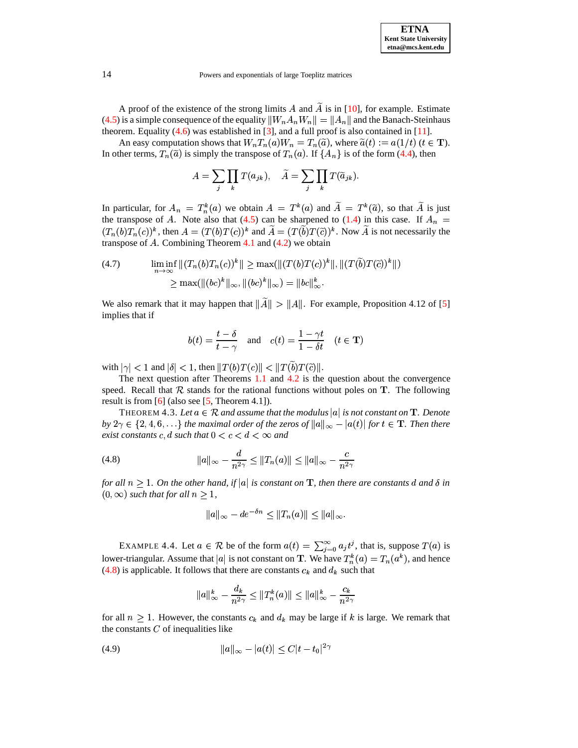A proof of the existence of the strong limits  $A$  and  $A$  is in [\[10\]](#page-40-0), for example. Estimate [\(4.5\)](#page-12-2) is a simple consequence of the equality  $||W_n A_n W_n|| = ||A_n||$  and the Banach-Steinhaus theorem. Equality [\(4.6\)](#page-12-3) was established in [\[3\]](#page-39-4), and a full proof is also contained in [\[11\]](#page-40-1).

An easy computation shows that  $W_nT_n(a)W_n = T_n(\widetilde{a})$ , where  $\widetilde{a}(t) := a(1/t)$   $(t \in \mathbf{T})$ . In other terms,  $T_n(\tilde{a})$  is simply the transpose of  $T_n(a)$ . If  $\{A_n\}$  is of the form [\(4.4\)](#page-12-4), then

$$
A = \sum_{j} \prod_{k} T(a_{jk}), \quad \widetilde{A} = \sum_{j} \prod_{k} T(\widetilde{a}_{jk}).
$$

In particular, for  $A_n = T_n^k(a)$  we obtain  $A = T^k(a)$  and  $A = T^k(\tilde{a})$ , so that A is just the transpose of A. Note also that [\(4.5\)](#page-12-2) can be sharpened to [\(1.4\)](#page-1-4) in this case. If  $A_n =$  $(T_n(b)T_n(c))^k$ , then  $A = (T(b)T(c))^k$  and  $A = (T(b)T(\tilde{c}))^k$ . Now A is not necessarily the transpose of  $A$ . Combining Theorem  $4.1$  and  $(4.2)$  we obtain

<span id="page-13-2"></span>(4.7) 
$$
\liminf_{n \to \infty} ||(T_n(b)T_n(c))^k|| \ge \max(||(T(b)T(c))^k||, ||(T(b)T(\tilde{c}))^k||)
$$

$$
\ge \max(||(bc)^k||_{\infty}, ||(bc)^k||_{\infty}) = ||bc||_{\infty}^k.
$$

We also remark that it may happen that  $||A|| > ||A||$ . For example, Proposition 4.12 of [\[5\]](#page-39-0) implies that if

$$
b(t) = \frac{t-\delta}{t-\gamma}
$$
 and  $c(t) = \frac{1-\gamma t}{1-\delta t}$   $(t \in \mathbf{T})$ 

with  $|\gamma|$  < 1 and  $|\delta|$  < 1, then  $||T(b)T(c)||$  <  $||T(b)T(\tilde{c})||$ .

The next question after Theorems [1.1](#page-1-2) and [4.2](#page-12-6) is the question about the convergence speed. Recall that  $R$  stands for the rational functions without poles on  $T$ . The following result is from  $[6]$  (also see  $[5,$  Theorem 4.1]).

THEOREM 4.3. Let  $a \in \mathcal{R}$  and assume that the modulus  $|a|$  is not constant on  $\mathbf{T}$ . Denote  $by$   $2\gamma \in \{2, 4, 6, \ldots\}$  the maximal order of the zeros of  $||a||_{\infty} - |a(t)|$  for  $t \in \mathbf{T}$ . Then there by  $2\gamma \in \{2, 4, 6, \ldots\}$  the maximal order of the zeros of  $||a||_{\infty}$  – exist constants c, d such that  $0 < c < d < \infty$  and

(4.8) 
$$
\|a\|_{\infty} - \frac{d}{n^{2\gamma}} \le \|T_n(a)\| \le \|a\|_{\infty} - \frac{c}{n^{2\gamma}}
$$

for all  $n \geq 1$ . On the other hand, if  $|a|$  is constant on **T**, then there are constants  $d$  and  $\delta$  in  $(0, \infty)$  *such that for all*  $n \geq 1$ ,

<span id="page-13-0"></span>
$$
||a||_{\infty}-de^{-\delta n}\leq ||T_n(a)||\leq ||a||_{\infty}.
$$

EXAMPLE 4.4. Let  $a \in \mathcal{R}$  be of the form  $a(t) = \sum_{i=0}^{\infty} a_i t^i$ , that is, suppr  $\sum_{i=0}^{\infty} a_i t^j$ , that is, suppose  $T(a)$  is lower-triangular. Assume that |a| is not constant on **T**. We have  $T_n^k(a) = T_n(a^k)$ , and hence [\(4.8\)](#page-13-0) is applicable. It follows that there are constants  $c_k$  and  $d_k$  such that

<span id="page-13-1"></span>
$$
||a||_{\infty}^k - \frac{d_k}{n^{2\gamma}} \le ||T_n^k(a)|| \le ||a||_{\infty}^k - \frac{c_k}{n^{2\gamma}}
$$

for all  $n \geq 1$ . However, the constants  $c_k$  and  $d_k$  may be large if k is large. We remark that the constants  $C$  of inequalities like

(4.9) 
$$
||a||_{\infty} - |a(t)| \leq C|t - t_0|^{2\gamma}
$$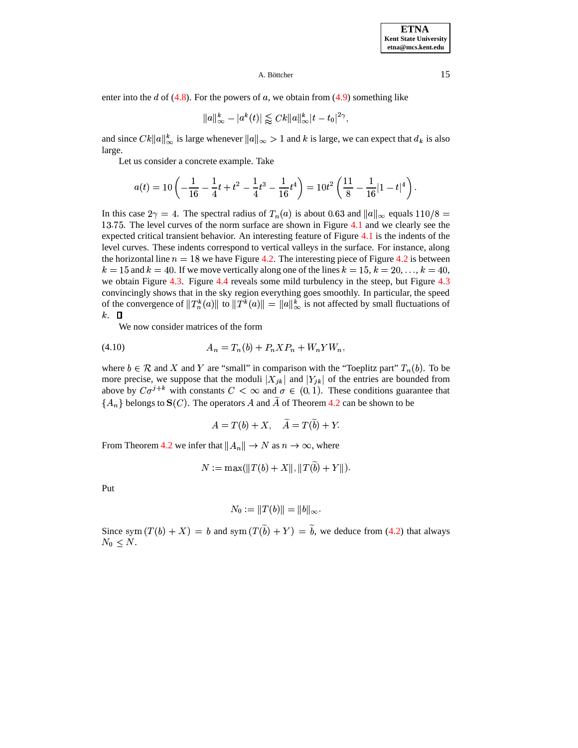enter into the d of  $(4.8)$ . For the powers of a, we obtain from  $(4.9)$  something like

$$
||a||_{\infty}^k - |a^k(t)| \lessapprox C k ||a||_{\infty}^k |t - t_0|^{2\gamma},
$$

and since  $Ck||a||_{\infty}^k$  is large whenever  $||a||_{\infty} > 1$  and k is large, we can expect that  $d_k$  is also large.

Let us consider a concrete example. Take

$$
a(t) = 10\left(-\frac{1}{16} - \frac{1}{4}t + t^2 - \frac{1}{4}t^3 - \frac{1}{16}t^4\right) = 10t^2\left(\frac{11}{8} - \frac{1}{16}|1-t|^4\right).
$$

In this case  $2\gamma = 4$ . The spectral radius of  $T_n(a)$  is about 0.63 and  $||a||_{\infty}$  equals  $110/8 =$  $\sim$  22  $\sim$  22  $\sim$  22  $\sim$  22  $\sim$  22  $\sim$  22  $\sim$  22  $\sim$  22  $\sim$  22  $\sim$  22  $\sim$  22  $\sim$  22  $\sim$  22  $\sim$  22  $\sim$  22  $\sim$  22  $\sim$  22  $\sim$  22  $\sim$  22  $\sim$  22  $\sim$  22  $\sim$  22  $\sim$  22  $\sim$  22  $\sim$  22  $\sim$  22  $\sim$  22  $\sim$  13.75. The level curves of the norm surface are shown in Figure [4.1](#page-35-0) and we clearly see the expected critical transient behavior. An interesting feature of Figure [4.1](#page-35-0) is the indents of the level curves. These indents correspond to vertical valleys in the surface. For instance, along the horizontal line  $n = 18$  we have Figure [4.2.](#page-31-0) The interesting piece of Figure [4.2](#page-31-0) is between  $k = 15$  and  $k = 40$ . If we move vertically along one of the lines  $k = 15$ ,  $k = 20, \ldots, k = 40$ , we obtain Figure [4.3.](#page-31-1) Figure [4.4](#page-32-0) reveals some mild turbulency in the steep, but Figure [4.3](#page-31-1) convincingly shows that in the sky region everything goes smoothly. In particular, the speed of the convergence of  $||T_n^k(a)||$  to  $||T^k(a)|| = ||a||_{\infty}^k$  is not affected by small fluctuations of  $k. \square$ 

<span id="page-14-0"></span>We now consider matrices of the form

$$
(4.10) \t\t An = Tn(b) + PnXPn + WnYWn,
$$

where  $b \in \mathcal{R}$  and X and Y are "small" in comparison with the "Toeplitz part"  $T_n(b)$ . To be more precise, we suppose that the moduli  $|X_{ik}|$  and  $|Y_{ik}|$  of the entries are bounded from above by  $C\sigma^{j+k}$  with constants  $C < \infty$  and  $\sigma \in (0,1)$ . These conditions guarantee that  $\{A_n\}$  belongs to  $S(C)$ . The operators A and  $\widetilde{A}$  of Theorem 4.2 can be shown to be  ${A_n}$  belongs to  $S(C)$ . The operators A and A of Theorem [4.2](#page-12-6) can be shown to be

$$
A=T(b)+X,\quad \widetilde{A}=T(\widetilde{b})+Y.
$$

From Theorem [4.2](#page-12-6) we infer that  $||A_n|| \to N$  as  $n \to \infty$ , where

$$
N := \max(||T(b) + X||, ||T(\tilde{b}) + Y||).
$$

Put

$$
N_0 := \|T(b)\| = \|b\|_\infty.
$$

Since sym  $(T(b) + X) = b$  and sym  $(T(b) + Y) = b$ , we deduce from [\(4.2\)](#page-12-5) that always  $N_0 \leq N$ .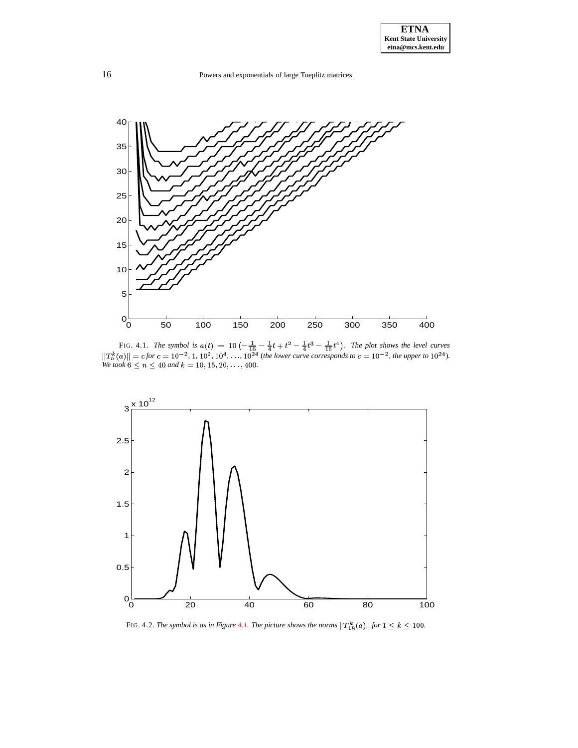

FIG. 4.1. *The symbol is*  $a(t) = 10\left(-\frac{1}{16} - \frac{1}{4}t + t^2 - \frac{1}{4}t^3 - \frac{1}{16}t^4\right)$ . *The plot shows the level curves*  $||T_n^k(a)|| = c$  for  $c = 10^{-2}$ , 1,  $10^2$ ,  $10^4$ , ...,  $10^{24}$  (the lower curve corresponds to  $c = 10^{-2}$ , the upper to  $10^{24}$ ). *We took*  $6 \le n \le 40$  *and*  $k = 10, 15, 20, \ldots, 400$ .



FIG. 4.2. *The symbol is as in Figure [4.1.](#page-35-0) The picture shows the norms*  $||T^k_{18}(a)||$  *for*  $1 \leq k \leq 100$ .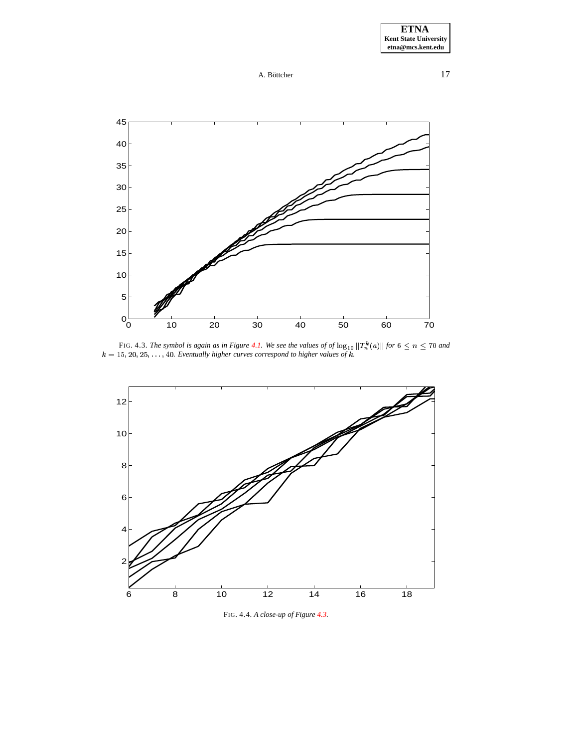A. Böttcher  $17$ 



FIG. 4.3. The symbol is again as in Figure [4.1.](#page-35-0) We see the values of of  $\log_{10} ||T_n^k(a)||$  for  $6 \le n \le 70$  and  $k = 15, 20, 25, ..., 40$ . Eventually higher curves correspond to higher values of k.



FIG. 4.4. *A close-up of Figure [4.3.](#page-31-1)*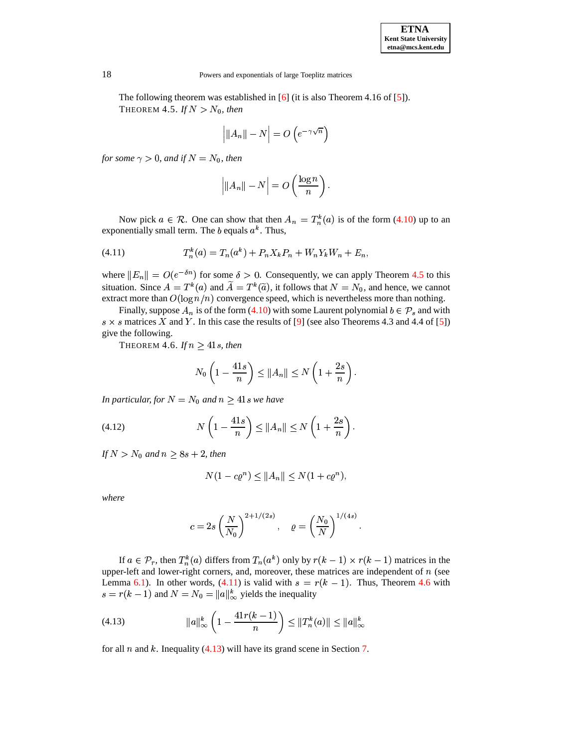<span id="page-17-0"></span>The following theorem was established in [\[6\]](#page-39-5) (it is also Theorem 4.16 of [\[5\]](#page-39-0)). THEOREM 4.5. If  $N > N_0$ , then

$$
\left| \|A_n\| - N \right| = O\left(e^{-\gamma\sqrt{n}}\right)
$$

*for some*  $\gamma > 0$ *, and if*  $N = N_0$ *, then* 

<span id="page-17-1"></span>
$$
\Big|\|A_n\|-N\Big|=O\left(\frac{\log n}{n}\right).
$$

Now pick  $a \in \mathcal{R}$ . One can show that then  $A_n = T_n^k(a)$  is of the form [\(4.10\)](#page-14-0) up to an exponentially small term. The b equals  $a^k$ . Thus,

(4.11) 
$$
T_n^k(a) = T_n(a^k) + P_n X_k P_n + W_n Y_k W_n + E_n,
$$

where  $||E_n|| = O(e^{-\delta n})$  for some  $\delta > 0$ . Consequently, we can apply Theorem [4.5](#page-17-0) to this situation. Since  $A = T^k(a)$  and  $A = T^k(\tilde{a})$ , it follows that  $N = N_0$ , and hence, we cannot extract more than  $O(\log n/n)$  convergence speed, which is nevertheless more than nothing.

<span id="page-17-2"></span>Finally, suppose  $A_n$  is of the form [\(4.10\)](#page-14-0) with some Laurent polynomial  $b \in \mathcal{P}_s$  and with  $s \times s$  matrices X and Y. In this case the results of [\[9\]](#page-40-26) (see also Theorems 4.3 and 4.4 of [\[5\]](#page-39-0)) give the following.

THEOREM 4.6. *If*  $n \geq 41$ *s, then* 

$$
N_0\left(1-\frac{41s}{n}\right) \le ||A_n|| \le N\left(1+\frac{2s}{n}\right).
$$

*In particular, for*  $N = N_0$  *and*  $n \geq 41$ *s we have* 

$$
(4.12) \t\t N\left(1-\frac{41s}{n}\right) \le ||A_n|| \le N\left(1+\frac{2s}{n}\right).
$$

*If*  $N > N_0$  and  $n \geq 8s + 2$ , then

$$
N(1 - c\varrho^n) \le ||A_n|| \le N(1 + c\varrho^n),
$$

*where*

<span id="page-17-3"></span>
$$
c = 2s \left(\frac{N}{N_0}\right)^{2+1/(2s)}, \quad \varrho = \left(\frac{N_0}{N}\right)^{1/(4s)}.
$$

If  $a \in \mathcal{P}_r$ , then  $T_n^k(a)$  differs from  $T_n(a^k)$  only by  $r(k-1) \times r(k-1)$  matrices in the upper-left and lower-right corners, and, moreover, these matrices are independent of  $n$  (see Lemma [6.1\)](#page-20-0). In other words,  $(4.11)$  is valid with  $s = r(k-1)$ . Thus, Theorem [4.6](#page-17-2) with  $s = r(k-1)$  and  $N = N_0 = ||a||_{\infty}^k$  yields the inequality

(4.13) 
$$
\|a\|_{\infty}^{k} \left(1 - \frac{41r(k-1)}{n}\right) \leq \|T_{n}^{k}(a)\| \leq \|a\|_{\infty}^{k}
$$

for all  $n$  and  $k$ . Inequality [\(4.13\)](#page-17-3) will have its grand scene in Section [7.](#page-23-0)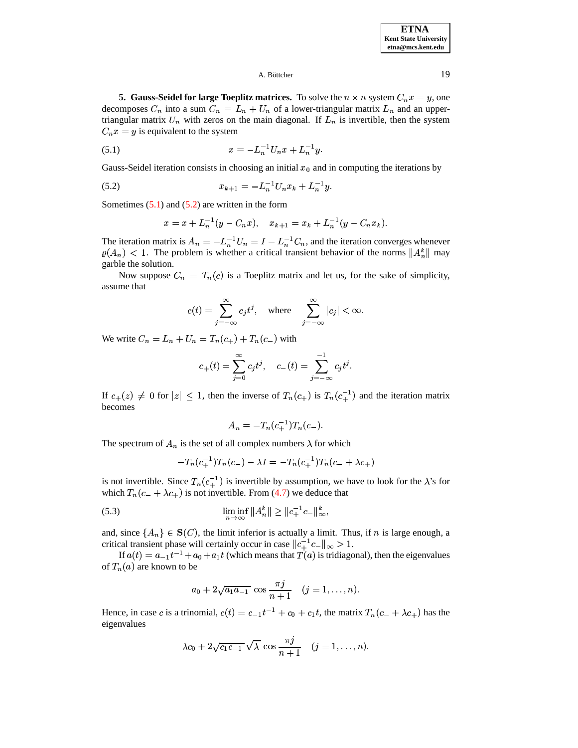**ETNA Kent State University etna@mcs.kent.edu**

### A. Böttcher  $19$

<span id="page-18-0"></span>**5. Gauss-Seidel for large Toeplitz matrices.** To solve the  $n \times n$  system  $C_n x = y$ , one decomposes  $C_n$  into a sum  $C_n = L_n + U_n$  of a lower-triangular matrix  $L_n$  and an uppertriangular matrix  $U_n$  with zeros on the main diagonal. If  $L_n$  is invertible, then the system  $C_n x = y$  is equivalent to the system

(5.1) 
$$
x = -L_n^{-1}U_nx + L_n^{-1}y.
$$

Gauss-Seidel iteration consists in choosing an initial  $x<sub>0</sub>$  and in computing the iterations by

$$
(5.2) \t\t\t x_{k+1} = -L_n^{-1}U_nx_k + L_n^{-1}y.
$$

Sometimes  $(5.1)$  and  $(5.2)$  are written in the form

$$
x = x + L_n^{-1}(y - C_n x), \quad x_{k+1} = x_k + L_n^{-1}(y - C_n x_k).
$$

The iteration matrix is  $A_n = -L_n^{-1}U_n = I - L_n^{-1}C_n$ , and the iteration converges whenever  $\varrho(A_n)$  < 1. The problem is whether a critical transient behavior of the norms  $||A_n^k||$  may garble the solution.

Now suppose  $C_n = T_n(c)$  is a Toeplitz matrix and let us, for the sake of simplicity, assume that

$$
c(t) = \sum_{j=-\infty}^{\infty} c_j t^j, \quad \text{where} \quad \sum_{j=-\infty}^{\infty} |c_j| < \infty.
$$

We write  $C_n = L_n + U_n = T_n(c_+) + T_n(c_-)$  with

$$
c_{+}(t) = \sum_{j=0}^{\infty} c_{j} t^{j}, \quad c_{-}(t) = \sum_{j=-\infty}^{-1} c_{j} t^{j}.
$$

If  $c_{+}(z) \neq 0$  for  $|z| \leq 1$ , then the inverse of  $T_n(c_+)$  is  $T_n(c_+^{-1})$  and the iteration matrix becomes

<span id="page-18-2"></span>
$$
A_n = -T_n(c_+^{-1})T_n(c_-).
$$

The spectrum of  $A_n$  is the set of all complex numbers  $\lambda$  for which

$$
-T_n(c_+^{-1})T_n(c_-) - \lambda I = -T_n(c_+^{-1})T_n(c_- + \lambda c_+)
$$

is not invertible. Since  $T_n(c_+^{-1})$  is invertible by assumption, we have to look for the  $\lambda$ 's for which  $T_n(c_- + \lambda c_+)$  is not invertible. From [\(4.7\)](#page-13-2) we deduce that

(5.3) 
$$
\liminf_{n \to \infty} ||A_n^k|| \ge ||c_+^{-1}c_-||_{\infty}^k,
$$

and, since  $\{A_n\} \in S(C)$ , the limit inferior is actually a limit. Thus, if n is large enough, a critical transient phase will certainly occur in case  $||c_+^{-1}c_-\||_{\infty} > 1$ .

If  $a(t) = a_{-1}t^{-1} + a_0 + a_1t$  (which means that  $T(a)$  is tridiagonal), then the eigenvalues of  $T_n(a)$  are known to be

$$
a_0 + 2\sqrt{a_1 a_{-1}} \cos \frac{\pi j}{n+1}
$$
  $(j = 1, ..., n).$ 

Hence, in case c is a trinomial,  $c(t) = c_{-1}t^{-1} + c_0 + c_1t$ , the matrix  $T_n(c_- + \lambda c_+)$  has the eigenvalues

$$
\lambda c_0 + 2\sqrt{c_1 c_{-1}} \sqrt{\lambda} \cos \frac{\pi j}{n+1} \quad (j = 1, \dots, n).
$$

<span id="page-18-1"></span>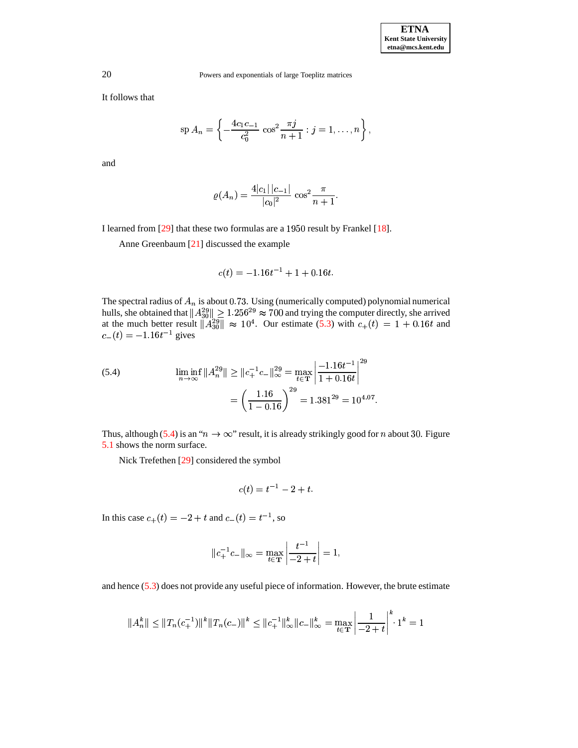It follows that

$$
\mathrm{sp}\, A_n = \left\{ -\frac{4c_1c_{-1}}{c_0^2} \, \cos^2 \frac{\pi j}{n+1} : j = 1, \dots, n \right\},\,
$$

and

$$
\varrho(A_n) = \frac{4|c_1||c_{-1}|}{|c_0|^2} \cos^2 \frac{\pi}{n+1}.
$$

I learned from  $[29]$  that these two formulas are a  $1950$  result by Frankel  $[18]$ .

Anne Greenbaum [\[21\]](#page-40-9) discussed the example

$$
c(t) = -1.16t^{-1} + 1 + 0.16t.
$$

The spectral radius of  $A_n$  is about 0.73. Using (numerically computed) polynomial numerical hulls, she obtained that  $||A_{30}^{29}|| \geq 1.256^{29} \approx 700$  and trying the computer directly, she arrived at the much better result  $||A_{30}^{29}|| \approx 10^4$ . Our estimate [\(5.3\)](#page-18-2) with  $c_+(t) = 1 + 0.16t$  and  $c_-(t) = -1.16t^{-1}$  gives

<span id="page-19-0"></span>(5.4) 
$$
\liminf_{n \to \infty} \|A_n^{29}\| \ge \|c_+^{-1}c_-\|_{\infty}^{29} = \max_{t \in \mathbf{T}} \left| \frac{-1.16t^{-1}}{1 + 0.16t} \right|^{29} = \left(\frac{1.16}{1 - 0.16}\right)^{29} = 1.381^{29} = 10^{4.07}.
$$

Thus, although [\(5.4\)](#page-19-0) is an " $n \to \infty$ " result, it is already strikingly good for *n* about 30. Figure [5.1](#page-35-0) shows the norm surface.

Nick Trefethen [\[29\]](#page-40-21) considered the symbol

$$
c(t) = t^{-1} - 2 + t.
$$

In this case  $c_+(t) = -2 + t$  and  $c_-(t) = t^{-1}$ , so

$$
||c_+^{-1}c_-\||_{\infty} = \max_{t \in \mathbf{T}} \left| \frac{t^{-1}}{-2 + t} \right| = 1,
$$

and hence [\(5.3\)](#page-18-2) does not provide any useful piece of information. However, the brute estimate

$$
||A_n^k|| \le ||T_n(c_+^{-1})||^k ||T_n(c_-)||^k \le ||c_+^{-1}||_\infty^k ||c_-||_\infty^k = \max_{t \in \mathbf{T}} \left| \frac{1}{-2+t} \right|^k \cdot 1^k = 1
$$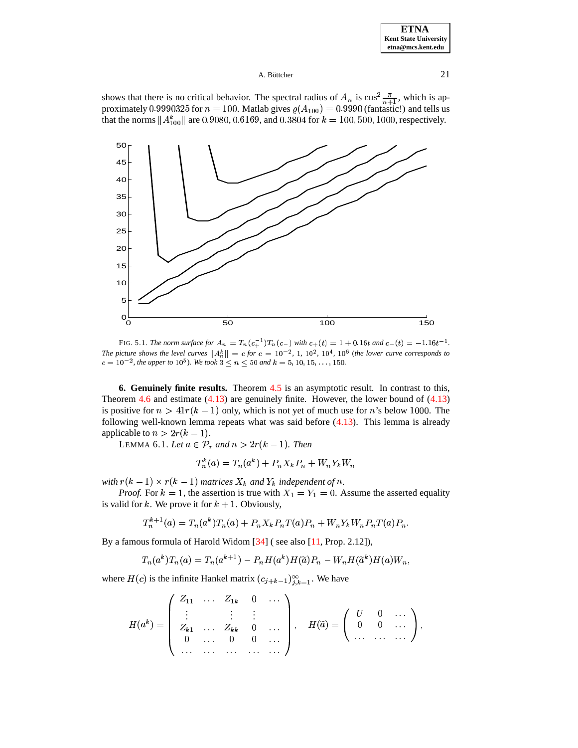| <b>ETNA</b>           |
|-----------------------|
| Kent State University |
| etna@mcs.kent.edu     |

shows that there is no critical behavior. The spectral radius of  $A_n$  is  $\cos^2 \frac{\pi}{n+1}$ , which is approximately approximately approximately approximately proximately 0.9990325 for  $n = 100$ . Matlab gives  $\varrho(A_{100}) = 0.9990$  (fantastic!) and tells us that the norms  $||A_{100}^k||$  are 0.9080, 0.6169, and 0.3804 for  $k = 100, 500, 1000$ , respectively.



FIG. 5.1. *The norm surface for*  $A_n = T_n(c_+^{-1})T_n(c_-)$  with  $c_+(t) = 1 + 0.16t$  and  $c_-(t) = -1.16t^{-1}$ . *The* picture shows the level curves  $||A_n^k|| = c$  for  $c = 10^{-2}$ , 1,  $10^2$ ,  $10^4$ ,  $10^6$  (the lower curve corresponds to  $c = 10^{-2}$ , the upper to  $10^5$ ). We took  $3 \le n \le 50$  and  $k = 5, 10, 15, \ldots, 150$ .

<span id="page-20-0"></span>**6. Genuinely finite results.** Theorem [4.5](#page-17-0) is an asymptotic result. In contrast to this, Theorem [4.6](#page-17-2) and estimate  $(4.13)$  are genuinely finite. However, the lower bound of  $(4.13)$ is positive for  $n > 41r(k - 1)$  only, which is not yet of much use for n's below 1000. The following well-known lemma repeats what was said before [\(4.13\)](#page-17-3). This lemma is already applicable to  $n > 2r(k-1)$ .

LEMMA 6.1. Let  $a \in \mathcal{P}_r$  and  $n > 2r(k-1)$ . Then

$$
T_n^k(a) = T_n(a^k) + P_n X_k P_n + W_n Y_k W_n
$$

with  $r(k-1) \times r(k-1)$  matrices  $X_k$  and  $Y_k$  independent of n.

*Proof.* For  $k = 1$ , the assertion is true with  $X_1 = Y_1 = 0$ . Assume the asserted equality is valid for k. We prove it for  $k + 1$ . Obviously,

$$
T_n^{k+1}(a) = T_n(a^k)T_n(a) + P_n X_k P_n T(a) P_n + W_n Y_k W_n P_n T(a) P_n.
$$

By a famous formula of Harold Widom [\[34\]](#page-40-28) ( see also [\[11,](#page-40-1) Prop. 2.12]),

$$
T_n(a^k)T_n(a) = T_n(a^{k+1}) - P_nH(a^k)H(\widetilde{a})P_n - W_nH(\widetilde{a}^k)H(a)W_n,
$$

where  $H(c)$  is the infinite Hankel matrix  $(c_{i+k-1})_{i,k=1}^{\infty}$ . We have

$$
H(a^{k}) = \left( \begin{array}{cccc} Z_{11} & \ldots & Z_{1k} & 0 & \ldots \\ \vdots & & \vdots & \vdots \\ Z_{k1} & \ldots & Z_{kk} & 0 & \ldots \\ 0 & \ldots & 0 & 0 & \ldots \\ \ldots & \ldots & \ldots & \ldots & \ldots \end{array} \right), \quad H(\widetilde{a}) = \left( \begin{array}{cccc} U & 0 & \ldots \\ 0 & 0 & \ldots \\ \ldots & \ldots & \ldots \end{array} \right),
$$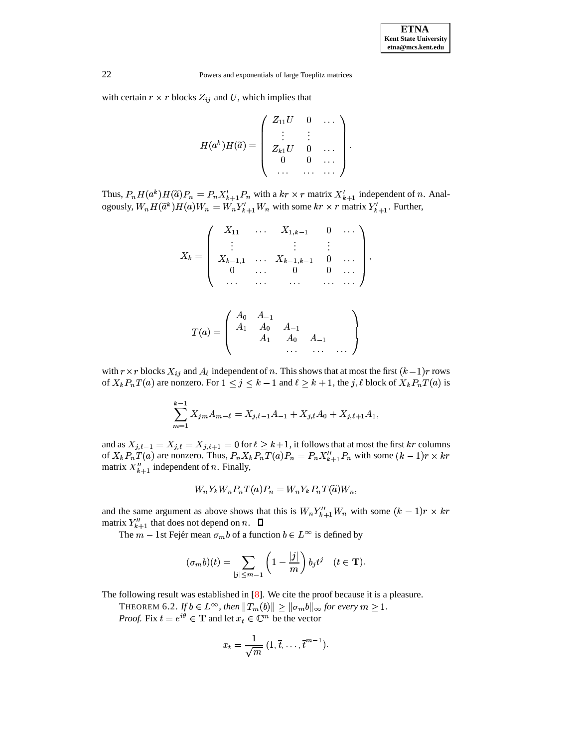with certain  $r \times r$  blocks  $Z_{ij}$  and U, which implies that

$$
H(a^k)H(\widetilde{a}) = \left(\begin{array}{cccc} Z_{11}U & 0 & \dots \\ \vdots & \vdots & \vdots \\ Z_{k1}U & 0 & \dots \\ 0 & 0 & \dots \\ \dots & \dots & \dots \end{array}\right).
$$

Thus,  $P_n H(a^k) H(\tilde{a}) P_n = P_n X_{k+1}^{\prime} P_n$  with a  $k r \times r$  matrix  $X_{k+1}^{\prime}$  independent of n. Analogously,  $W_n H(\tilde{a}^k) H(a) W_n = W_n Y_{k+1}' W_n$  with some  $kr \times r$  matrix  $Y_{k+1}'$ . Further,

$$
X_{k} = \left( \begin{array}{cccc} X_{11} & \dots & X_{1,k-1} & 0 & \dots \\ \vdots & & \vdots & \vdots & \\ X_{k-1,1} & \dots & X_{k-1,k-1} & 0 & \dots \\ 0 & \dots & 0 & 0 & \dots \\ \dots & \dots & \dots & \dots & \dots \end{array} \right),
$$
  

$$
T(a) = \left( \begin{array}{cccc} A_{0} & A_{-1} & & & \\ A_{1} & A_{0} & A_{-1} & & \\ A_{1} & A_{0} & A_{-1} & & \\ A_{1} & A_{0} & A_{-1} & & \\ \end{array} \right)
$$

with  $r \times r$  blocks  $X_{ij}$  and  $A_{\ell}$  independent of n. This shows that at most the first  $(k-1)r$  rows of  $X_k P_n T(a)$  are nonzero. For  $1 \le j \le k-1$  and  $\ell \ge k+1$ , the j,  $\ell$  block of  $X_k P_n T(a)$  is

$$
\sum_{m=1}^{k-1} X_{jm} A_{m-\ell} = X_{j,\ell-1} A_{-1} + X_{j,\ell} A_0 + X_{j,\ell+1} A_1,
$$

and as  $X_{j,\ell-1} = X_{j,\ell} = X_{j,\ell+1} = 0$  for  $\ell \geq k+1$ , it follows that at most the first kr columns of  $X_k P_n T(a)$  are nonzero. Thus,  $P_n X_k P_n T(a) P_n = P_n X_{k+1}'' P_n$  with some  $(k-1)r \times kr$ matrix  $X_{k+1}^{\prime\prime}$  independent of *n*. Finally,

$$
W_n Y_k W_n P_n T(a) P_n = W_n Y_k P_n T(\tilde{a}) W_n,
$$

and the same argument as above shows that this is  $W_n Y_{k+1}'' W_n$  with some  $(k-1)r \times kr$ matrix  $Y_{k+1}''$  that does not depend on n.

The  $m-1$ st Fejér mean  $\sigma_m b$  of a function  $b \in L^\infty$  is defined by

$$
(\sigma_m b)(t)=\sum_{|j|\leq m-1}\left(1-\frac{|j|}{m}\right)b_jt^j\quad (t\in\mathbf{T}).
$$

<span id="page-21-0"></span>The following result was established in [\[8\]](#page-39-6). We cite the proof because it is a pleasure.

THEOREM 6.2. If  $b \in L^{\infty}$ , then  $\|T_{m}(b)\| \geq \|\sigma_{m}b\|_{\infty}$  for every  $m \geq 1$ . *Proof.* Fix  $t = e^{i\theta} \in \mathbf{T}$  and let  $x_t \in \mathbb{C}^m$  be the vector

$$
x_t = \frac{1}{\sqrt{m}} (1, \overline{t}, \dots, \overline{t}^{m-1}).
$$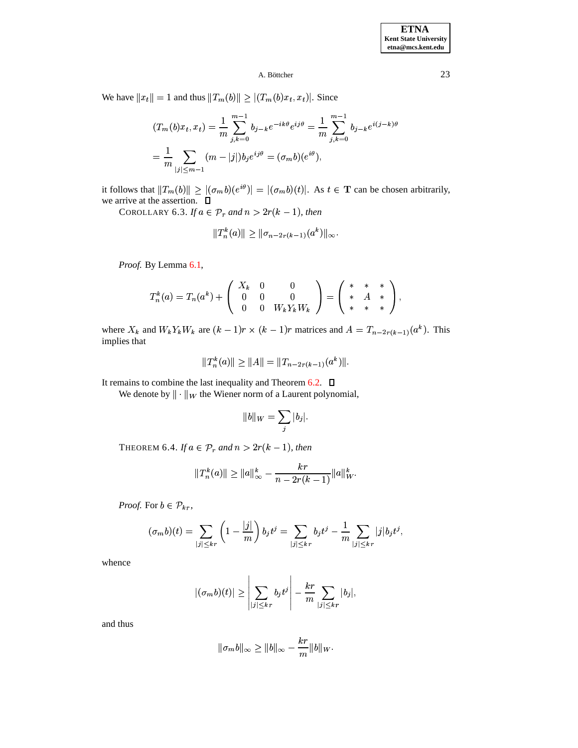We have  $||x_t|| = 1$  and thus  $||T_m(b)|| \ge |(T_m(b)x_t, x_t)|$ . Since

$$
(T_m(b)x_t, x_t) = \frac{1}{m} \sum_{j,k=0}^{m-1} b_{j-k} e^{-ik\theta} e^{ij\theta} = \frac{1}{m} \sum_{j,k=0}^{m-1} b_{j-k} e^{i(j-k)\theta}
$$

$$
= \frac{1}{m} \sum_{|j| \le m-1} (m - |j|) b_j e^{ij\theta} = (\sigma_m b)(e^{i\theta}),
$$

<span id="page-22-0"></span>it follows that  $||T_m(b)|| \ge |(\sigma_m b)(e^{i\theta})| = |(\sigma_m b)(t)|$ . As  $t \in \mathbf{T}$  can be chosen arbitrarily, we arrive at the assertion.  $\Box$ 

COROLLARY 6.3. If  $a \in \mathcal{P}_r$  and  $n > 2r(k-1)$ , then

$$
||T_n^k(a)|| \ge ||\sigma_{n-2r(k-1)}(a^k)||_{\infty}.
$$

*Proof.* By Lemma [6.1,](#page-20-0)

$$
T_n^k(a) = T_n(a^k) + \left(\begin{array}{ccc} X_k & 0 & 0 \\ 0 & 0 & 0 \\ 0 & 0 & W_k Y_k W_k \end{array}\right) = \left(\begin{array}{ccc} * & * & * \\ * & A & * \\ * & * & * \end{array}\right),
$$

where  $X_k$  and  $W_k Y_k W_k$  are  $(k-1)r \times (k-1)r$  matrices and  $A = T_{n-2r(k-1)}(a^k)$ . This implies that

$$
||T_n^k(a)|| \ge ||A|| = ||T_{n-2r(k-1)}(a^k)||.
$$

It remains to combine the last inequality and Theorem [6.2.](#page-21-0)  $\Box$ 

We denote by  $\|\cdot\|_W$  the Wiener norm of a Laurent polynomial,

$$
||b||_W = \sum_j |b_j|.
$$

<span id="page-22-1"></span>THEOREM 6.4. *If*  $a \in \mathcal{P}_r$  and  $n > 2r(k-1)$ , then

$$
||T_n^k(a)|| \ge ||a||_{\infty}^k - \frac{kr}{n - 2r(k-1)} ||a||_{W}^k.
$$

*Proof.* For  $b \in \mathcal{P}_{kr}$ ,

$$
(\sigma_m b)(t)=\sum_{|j|\leq kr}\left(1-\frac{|j|}{m}\right)b_jt^j=\sum_{|j|\leq kr}b_jt^j-\frac{1}{m}\sum_{|j|\leq kr}|j|b_jt^j,
$$

whence

$$
|(\sigma_m b)(t)| \geq \left|\sum_{|j| \leq kr} b_j t^j \right| - \frac{kr}{m} \sum_{|j| \leq kr} |b_j|,
$$

and thus

$$
\|\sigma_m b\|_{\infty} \ge \|b\|_{\infty} - \frac{kr}{m} \|b\|_{W}.
$$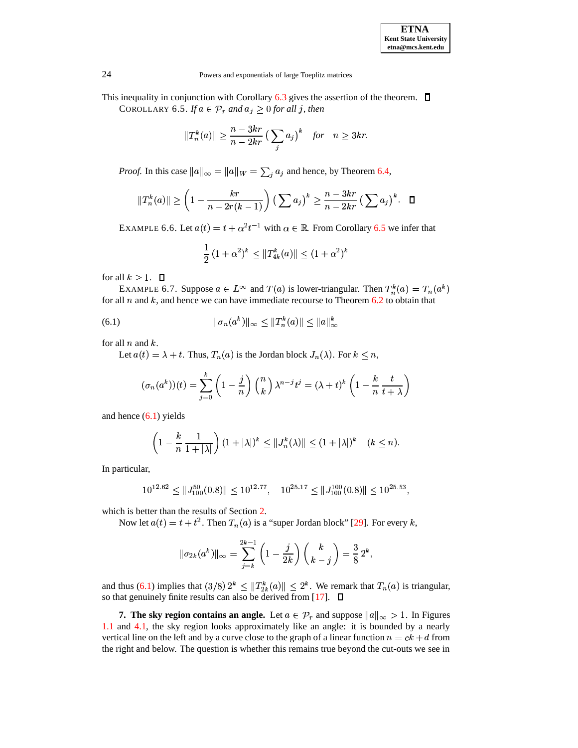<span id="page-23-1"></span>This inequality in conjunction with Corollary [6.3](#page-22-0) gives the assertion of the theorem.  $\Box$ COROLLARY 6.5. If  $a \in \mathcal{P}_r$  and  $a_j \geq 0$  for all j, then

$$
||T_n^k(a)|| \ge \frac{n-3kr}{n-2kr} \left(\sum_j a_j\right)^k \quad \text{for} \quad n \ge 3kr.
$$

*Proof.* In this case  $||a||_{\infty} = ||a||_{W} = \sum_{i} a_i$  and hence, by Theorem [6.4,](#page-22-1)

$$
\|T_n^k(a)\| \ge \left(1 - \frac{kr}{n - 2r(k-1)}\right) \left(\sum a_j\right)^k \ge \frac{n - 3kr}{n - 2kr} \left(\sum a_j\right)^k. \quad \Box
$$

EXAMPLE 6.6. Let  $a(t) = t + \alpha^2 t^{-1}$  with  $\alpha \in \mathbb{R}$ . From Corollary [6.5](#page-23-1) we infer that

<span id="page-23-2"></span>
$$
\frac{1}{2} (1 + \alpha^2)^k \le ||T_{4k}^k(a)|| \le (1 + \alpha^2)^k
$$

for all  $k \geq 1$ .  $\Box$ 

EXAMPLE 6.7. Suppose  $a \in L^{\infty}$  and  $T(a)$  is lower-triangular. Then  $T_n^k(a) = T_n(a^k)$ for all  $n$  and  $k$ , and hence we can have immediate recourse to Theorem [6.2](#page-21-0) to obtain that

(6.1) 
$$
\|\sigma_n(a^k)\|_{\infty} \le \|T_n^k(a)\| \le \|a\|_{\infty}^k
$$

for all  $n$  and  $k$ .

Let  $a(t) = \lambda + t$ . Thus,  $T_n(a)$  is the Jordan block  $J_n(\lambda)$ . For  $k \leq n$ ,

$$
(\sigma_n(a^k))(t) = \sum_{j=0}^k \left(1 - \frac{j}{n}\right) {n \choose k} \lambda^{n-j} t^j = (\lambda + t)^k \left(1 - \frac{k}{n} \frac{t}{t + \lambda}\right)
$$

and hence [\(6.1\)](#page-23-2) yields

$$
\left(1 - \frac{k}{n} \frac{1}{1+|\lambda|}\right) (1+|\lambda|)^k \leq ||J_n^k(\lambda)|| \leq (1+|\lambda|)^k \quad (k \leq n).
$$

In particular,

$$
10^{12.62} \le ||J_{100}^{50}(0.8)|| \le 10^{12.77}, \quad 10^{25.17} \le ||J_{100}^{100}(0.8)|| \le 10^{25.53},
$$

which is better than the results of Section [2.](#page-4-0)

Now let  $a(t) = t + t^2$ . Then  $T_n(a)$  is a "super Jordan block" [\[29\]](#page-40-21). For every k,

$$
\|\sigma_{2k}(a^k)\|_\infty=\sum_{j=k}^{2k-1}\left(1-\frac{j}{2k}\right)\left(\frac{k}{k-j}\right)=\frac{3}{8}\,2^k,
$$

and thus [\(6.1\)](#page-23-2) implies that  $(3/8) 2^k \le ||T_{2k}^k(a)|| \le 2^k$ . We remark that  $T_n(a)$  is triangular, so that genuinely finite results can also be derived from [\[17\]](#page-40-13).

<span id="page-23-0"></span>**7.** The sky region contains an angle. Let  $a \in \mathcal{P}_r$  and suppose  $||a||_{\infty} > 1$ . In Figures [1.1](#page-35-0) and [4.1,](#page-35-0) the sky region looks approximately like an angle: it is bounded by a nearly vertical line on the left and by a curve close to the graph of a linear function  $n = ck + d$  from the right and below. The question is whether this remains true beyond the cut-outs we see in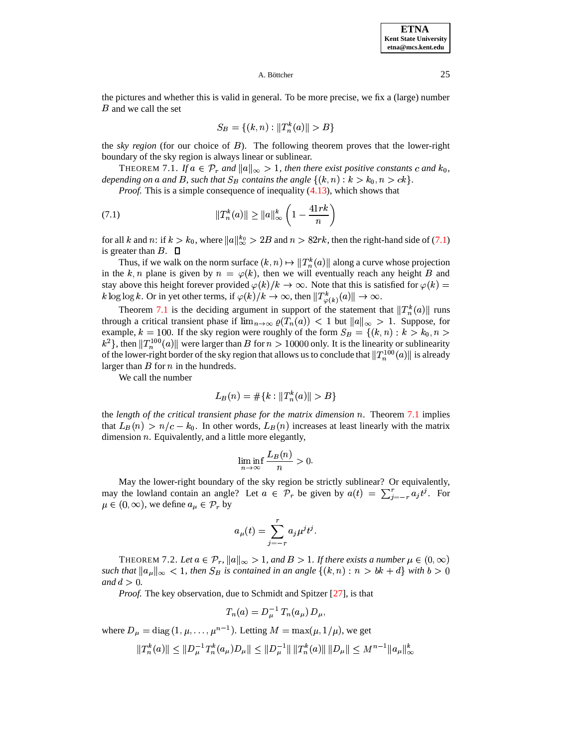**ETNA Kent State University etna@mcs.kent.edu**

### A. Böttcher  $25$

the pictures and whether this is valid in general. To be more precise, we fix a (large) number  $B$  and we call the set

<span id="page-24-0"></span>
$$
S_B = \{(k, n) : ||T_n^k(a)|| > B\}
$$

the *sky region* (for our choice of ). The following theorem proves that the lower-right boundary of the sky region is always linear or sublinear.

<span id="page-24-1"></span>**THEOREM** 7.1. If  $a \in \mathcal{P}_r$  and  $||a||_{\infty} > 1$ , then there exist positive constants c and  $k_0$ , THEOREM 7.1. If  $a \in \mathcal{P}_r$  and  $||a||_{\infty} > 1$ , then there exist positive constants c and  $k_0$  depending on a and B, such that  $S_B$  contains the angle  $\{(k, n) : k > k_0, n > ck\}$ .<br>*Proof.* This is a simple consequence of inequa

*Proof.* This is a simple consequence of inequality  $(4.13)$ , which shows that

(7.1) 
$$
||T_n^k(a)|| \ge ||a||_{\infty}^k \left(1 - \frac{41rk}{n}\right)
$$

for all k and n: if  $k > k_0$ , where  $||a||_{\infty}^{k_0} > 2B$  and  $n > 82rk$ , then the right-hand side of [\(7.1\)](#page-24-0) is greater than  $B$ .  $\square$ 

Thus, if we walk on the norm surface  $(k, n) \mapsto ||T_n^k(a)||$  along a curve whose projection in the k, n plane is given by  $n = \varphi(k)$ , then we will eventually reach any height B and stay above this height forever provided  $\varphi(k)/k \to \infty$ . Note that this is satisfied for  $\varphi(k)$  = stay above this height forever provided  $\varphi(k)/k \to \infty$ . Note that this is satisfied for  $\varphi(k)$  =  $k \log \log k$ . Or in yet other terms, if  $\varphi(k)/k \to \infty$ , then  $||T^k_{\varphi(k)}(a)|| \to \infty$ .

Theorem [7.1](#page-24-1) is the deciding argument in support of the statement that  $||T_n^k(a)||$  runs through a critical transient phase if  $\lim_{n\to\infty} \varrho(T_n(a)) < 1$  but  $||a||_{\infty} > 1$ . Suppose, for through a critical transient phase if  $\lim_{n\to\infty} \varrho(T_n(a)) < 1$  but  $||a||_{\infty} > 1$ . Suppose, for example,  $k = 100$ . If the sky region were roughly of the form  $S_B = \{(k, n) : k > k_0, n > 1\}$ Example,  $n = 100$ . It die sky region were roughly of the form  $B_B = \binom{n}{k}$ ,  $n > n_0, n > k^2$ , then  $||T_n^{100}(a)||$  were larger than B for  $n > 10000$  only. It is the linearity or sublinearity of the lower-right border of the sky region that allows us to conclude that  $||T_n^{100}(a)||$  is already larger than  $B$  for  $n$  in the hundreds.

We call the number

$$
L_B(n) = \# \{ k : \|T_n^k(a)\| > B \}
$$

the *length of the critical transient phase for the matrix dimension* . Theorem [7.1](#page-24-1) implies that  $L_B(n) > n/c - k_0$ . In other words,  $L_B(n)$  increases at least linearly with the matrix dimension  $n$ . Equivalently, and a little more elegantly,

$$
\liminf_{n \to \infty} \frac{L_B(n)}{n} > 0.
$$

May the lower-right boundary of the sky region be strictly sublinear? Or equivalently, may the lowland contain an angle? Let  $a \in \mathcal{P}_r$  be given by  $a(t) = \sum_{i=-r}^{r} a_i t^i$ . For  $\mu \in (0, \infty)$ , we define  $a_{\mu} \in \mathcal{P}_r$  by

$$
a_\mu(t)=\sum_{j=-r}^ra_j\mu^jt^j.
$$

<span id="page-24-2"></span>THEOREM 7.2. Let  $a \in \mathcal{P}_r$ ,  $||a||_{\infty} > 1$ , and  $B > 1$ . If there exists a number  $\mu \in (0, \infty)$ such that  $||a_{\mu}||_{\infty} < 1$ , then  $S_B$  is contained in an angle  $\{(k,n) : n > bk + d\}$  with  $b > 0$ *et*  $a \in \mathcal{P}_r$ ,  $||a||_{\infty} > 1$ , and  $B > 1$ . If there exists a number  $\mu \in (0, \infty)$ , then  $S_B$  is contained in an angle  $\{(k, n) : n > bk + d\}$  with  $b > 0$ *and*  $d > 0$ *.* 

*Proof.* The key observation, due to Schmidt and Spitzer [\[27\]](#page-40-4), is that

$$
T_n(a) = D_u^{-1} T_n(a_\mu) D_\mu,
$$

where  $D_{\mu} = \text{diag}(1, \mu, \dots, \mu^{n-1})$ . Letting  $M = \max(\mu, 1/\mu)$  $^{n-1}$ ). Letting  $M = \max(\mu, 1/\mu)$ , we get

$$
||T_n^k(a)|| \leq ||D_{\mu}^{-1}T_n^k(a_{\mu})D_{\mu}|| \leq ||D_{\mu}^{-1}|| \, ||T_n^k(a)|| \, ||D_{\mu}|| \leq M^{n-1} ||a_{\mu}||_{\infty}^k
$$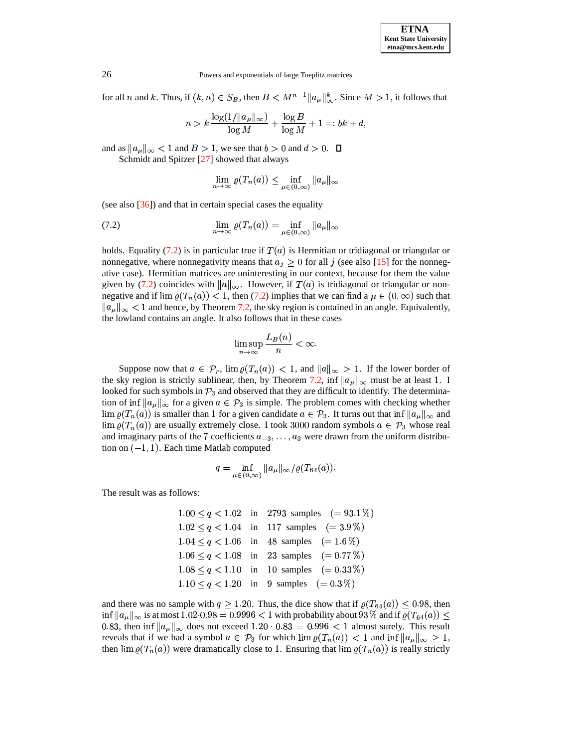

for all *n* and *k*. Thus, if  $(k, n) \in S_B$ , then  $B < M^{n-1} ||a_{\mu}||_{\infty}^k$ . Since  $M > 1$ , it follows that

$$
n > k \frac{\log(1/\|a_{\mu}\|_{\infty})}{\log M} + \frac{\log B}{\log M} + 1 =: bk + d,
$$

and as  $\|a_{\mu}\|_{\infty} < 1$  and  $B > 1$ , we see that  $b > 0$  and  $d > 0$ .  $\Box$ 

Schmidt and Spitzer [\[27\]](#page-40-4) showed that always

<span id="page-25-0"></span>
$$
\lim_{n \to \infty} \varrho(T_n(a)) \le \inf_{\mu \in (0,\infty)} \|a_{\mu}\|_{\infty}
$$

(see also [\[36\]](#page-40-6)) and that in certain special cases the equality

(7.2) 
$$
\lim_{n \to \infty} \varrho(T_n(a)) = \inf_{\mu \in (0, \infty)} \|a_{\mu}\|_{\infty}
$$

holds. Equality [\(7.2\)](#page-25-0) is in particular true if  $T(a)$  is Hermitian or tridiagonal or triangular or nonnegative, where nonnegativity means that  $a_i \geq 0$  for all j (see also [\[15\]](#page-40-3) for the nonnegative case). Hermitian matrices are uninteresting in our context, because for them the value given by [\(7.2\)](#page-25-0) coincides with  $||a||_{\infty}$ . However, if  $T(a)$  is tridiagonal or triangular or nonnegative and if  $\lim \varrho(T_n(a)) < 1$ , then [\(7.2\)](#page-25-0) implies that we can find a  $\mu \in (0, \infty)$  such that  $||a_{\mu}||_{\infty} < 1$  and hence, by Theorem [7.2,](#page-24-2) the sky region is contained in an angle. Equivalently, the lowland contains an angle. It also follows that in these cases

$$
\limsup_{n\to\infty}\frac{L_B(n)}{n}<\infty.
$$

Suppose now that  $a \in \mathcal{P}_r$ ,  $\lim \varrho(T_n(a)) < 1$ , and  $||a||_{\infty} > 1$ . If the lower border of the sky region is strictly sublinear, then, by Theorem [7.2,](#page-24-2) inf  $||a_{\mu}||_{\infty}$  must be at least 1. I looked for such symbols in  $\mathcal{P}_3$  and observed that they are difficult to identify. The determination of inf  $||a_{\mu}||_{\infty}$  for a given  $a \in \mathcal{P}_3$  is simple. The problem comes with checking whether  $\lim_{\mathcal{P}} \varrho(T_n(a))$  is smaller than 1 for a given candidate  $a \in \mathcal{P}_3$ . It turns out that  $\inf \|a_{\mu}\|_{\infty}$  and  $\lim_{\rho \to 0} \rho(T_n(a))$  are usually extremely close. I took 3000 random symbols  $a \in \mathcal{P}_3$  whose real and imaginary parts of the 7 coefficients  $a_{-3}, \ldots, a_3$  were drawn from the uniform distribution on  $(-1, 1)$ . Each time Matlab computed tion on  $(-1, 1)$ . Each time Matlab computed

$$
q=\inf_{\mu\in(0,\infty)}\|a_\mu\|_\infty/\varrho(T_{64}(a)).
$$

The result was as follows:

 $1.00 \le q < 1.02$  in 2793 samples  $(= 93.1\%)$  $1.02 \le q < 1.04$  in 117 samples  $(= 3.9\%)$  $1.04 \le q < 1.06$  in 48 samples  $(= 1.6\%)$  $1.06 \le q < 1.08$  in 23 samples  $(= 0.77\%)$  $1.08 \le q < 1.10$  in 10 samples  $(= 0.33\%)$  $1.10 \le q < 1.20$  in 9 samples  $(= 0.3\%)$ 

and there was no sample with  $q \ge 1.20$ . Thus, the dice show that if  $\varrho(T_{64}(a)) \le 0.98$ , then inf  $||a_\mu||_\infty$  is at most  $1.02 \cdot 0.98 = 0.9996 < 1$  with probability about  $93\%$  and if  $\varrho(T_{64}(a)) \le$ 0.83, then inf  $||a_{\mu}||_{\infty}$  does not exceed 1.20  $\cdot$  0.83 = 0.996  $\lt$  1 almost surely. This result reveals that if we had a symbol  $a \in \mathcal{P}_3$  for which  $\lim \varrho(T_n(a)) < 1$  and  $\inf \|a_{\mu}\|_{\infty} \geq 1$ , then  $\lim_{\alpha \to 0} \varrho(T_n(a))$  were dramatically close to 1. Ensuring that  $\lim_{\alpha \to 0} \varrho(T_n(a))$  is really strictly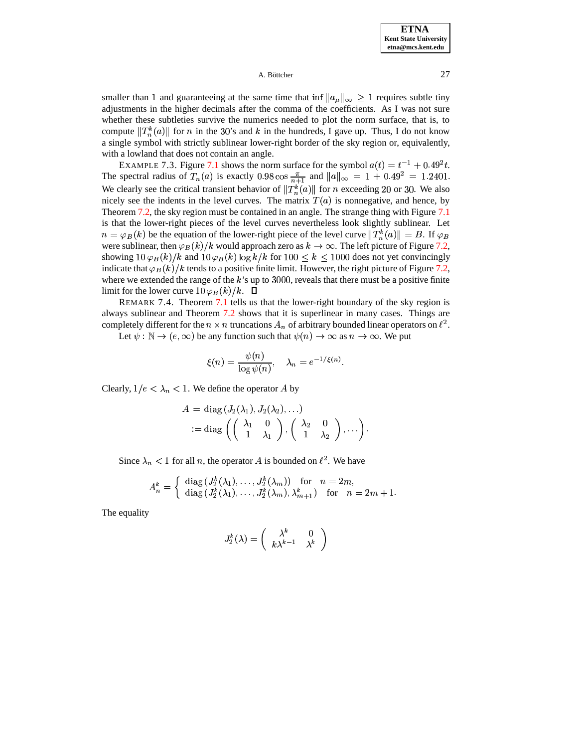smaller than 1 and guaranteeing at the same time that inf  $||a_{\mu}||_{\infty} \geq 1$  requires subtle tiny adjustments in the higher decimals after the comma of the coefficients. As I was not sure whether these subtleties survive the numerics needed to plot the norm surface, that is, to compute  $\|T_n^k(a)\|$  for n in the 30's and k in the hundreds, I gave up. Thus, I do not know a single symbol with strictly sublinear lower-right border of the sky region or, equivalently, with a lowland that does not contain an angle.

<span id="page-26-0"></span>EXAMPLE 7.3. Figure [7.1](#page-35-0) shows the norm surface for the symbol  $a(t) = t^{-1} + 0.49^2t$ . The spectral radius of  $T_n(a)$  is exactly 0.98 cos  $\frac{\pi}{n+1}$  and  $||a||_{\infty} = 1 + 0.49^2 = 1.2401$ . We clearly see the critical transient behavior of  $||T_n^k(a)||$  for *n* exceeding 20 or 30. We also nicely see the indents in the level curves. The matrix  $T(a)$  is nonnegative, and hence, by Theorem [7.2,](#page-24-2) the sky region must be contained in an angle. The strange thing with Figure [7.1](#page-35-0) is that the lower-right pieces of the level curves nevertheless look slightly sublinear. Let  $n = \varphi_B(k)$  be the equation of the lower-right piece of the level curve  $||T_n^k(a)|| = B$ . If  $\varphi_B$ were sublinear, then  $\varphi_B(k)/k$  would approach zero as  $k \to \infty$ . The left picture of Figure [7.2,](#page-31-0) showing  $10\varphi_B(k)/k$  and  $10\varphi_B(k)\log k/k$  for  $100 \leq k \leq 1000$  does not yet convincingly indicate that  $\varphi_B(k)/k$  tends to a positive finite limit. However, the right picture of Figure [7.2,](#page-31-0) where we extended the range of the  $k$ 's up to 3000, reveals that there must be a positive finite limit for the lower curve  $10\varphi_B(k)/k$ .  $\Box$ 

REMARK 7.4. Theorem [7.1](#page-24-1) tells us that the lower-right boundary of the sky region is always sublinear and Theorem [7.2](#page-24-2) shows that it is superlinear in many cases. Things are completely different for the  $n \times n$  truncations  $A_n$  of arbitrary bounded linear operators on  $\ell^2$ .

Let  $\psi : \mathbb{N} \to (e, \infty)$  be any function such that  $\psi(n) \to \infty$  as  $n \to \infty$ . We put

$$
\xi(n) = \frac{\psi(n)}{\log \psi(n)}, \quad \lambda_n = e^{-1/\xi(n)}.
$$

Clearly,  $1/e < \lambda_n < 1$ . We define the operator A by

$$
A = \text{diag}(J_2(\lambda_1), J_2(\lambda_2), \ldots)
$$
  
 := diag  $\left( \begin{pmatrix} \lambda_1 & 0 \\ 1 & \lambda_1 \end{pmatrix}, \begin{pmatrix} \lambda_2 & 0 \\ 1 & \lambda_2 \end{pmatrix}, \ldots \right)$ .

Since  $\lambda_n < 1$  for all *n*, the operator *A* is bounded on  $\ell^2$ . We have

$$
A_n^k = \begin{cases} \operatorname{diag}\left(J_2^k(\lambda_1), \ldots, J_2^k(\lambda_m)\right) & \text{for} \quad n = 2m, \\ \operatorname{diag}\left(J_2^k(\lambda_1), \ldots, J_2^k(\lambda_m), \lambda_{m+1}^k\right) & \text{for} \quad n = 2m+1. \end{cases}
$$

The equality

$$
J_2^k(\lambda)=\left(\begin{array}{cc} \lambda^k & 0\\ k\lambda^{k-1} & \lambda^k\end{array}\right)
$$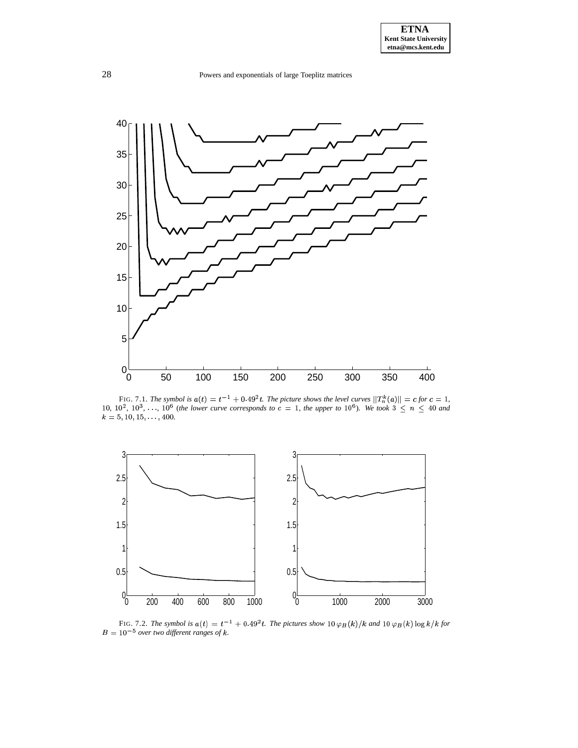

FIG. 7.1. The symbol is  $a(t) = t^{-1} + 0.49^2t$ . The picture shows the level curves  $||T_n^k(a)|| = c$  for  $c = 1$ , 10,  $10^2$ ,  $10^3$ , ...,  $10^6$  (the lower curve corresponds to  $c = 1$ , the upper to  $10^6$ ). We took  $3 \le n \le 40$  and  $k = 5, 10, 15, \ldots, 400.$ 



FIG. 7.2. The symbol is  $a(t) = t^{-1} + 0.49^2t$ . The pictures show  $10 \varphi_B(k)/k$  and  $10 \varphi_B(k) \log k/k$  for  $B = 10^{-5}$  over two different ranges of k.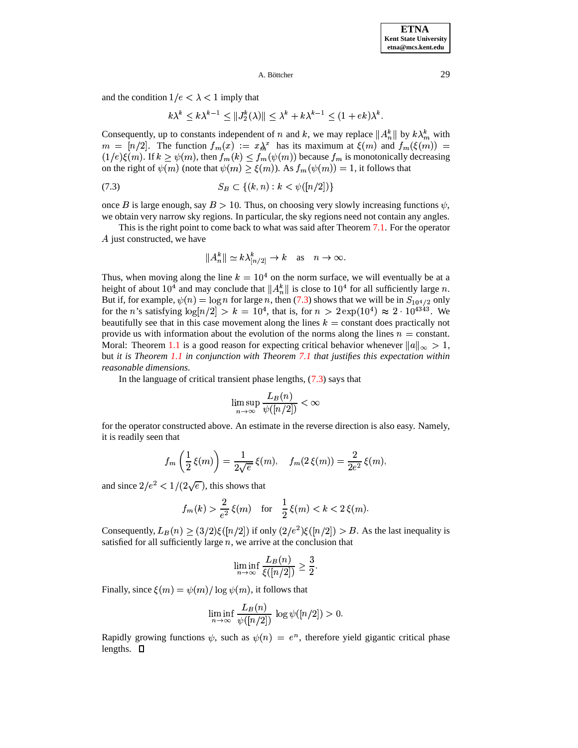and the condition  $1/e < \lambda < 1$  imply that

$$
k\lambda^k \le k\lambda^{k-1} \le ||J_2^k(\lambda)|| \le \lambda^k + k\lambda^{k-1} \le (1 + ek)\lambda^k.
$$

Consequently, up to constants independent of n and k, we may replace  $||A_n^k||$  by  $k\lambda_m^k$  with  $m = [n/2]$ . The function  $f_m(x) := x\lambda^x$  has its maximum at  $\xi(m)$  and  $f_m(\xi(m)) =$  $(1/e)\xi(m)$ . If  $k \ge \psi(m)$ , then  $f_m(k) \le f_m(\psi(m))$  because  $f_m$  is monotonically decreasing on the right of  $\psi(m)$  (note that  $\psi(m) \ge \xi(m)$ ). As  $f_m(\psi(m)) = 1$ , it follows that<br>
(7.3)  $S_B \subset \{(k, n) : k < \psi([n/2])\}$ 

(7.3) 
$$
S_B \subset \{(k, n) : k < \psi([n/2])\}
$$

once B is large enough, say  $B > 10$ . Thus, on choosing very slowly increasing functions  $\psi$ , we obtain very narrow sky regions. In particular, the sky regions need not contain any angles.

This is the right point to come back to what was said after Theorem [7.1.](#page-24-1) For the operator  $A$  just constructed, we have

$$
||A_n^k|| \simeq k\lambda_{\lceil n/2 \rceil}^k \to k \quad \text{as} \quad n \to \infty.
$$

Thus, when moving along the line  $k = 10^4$  on the norm surface, we will eventually be at a height of about 10<sup>4</sup> and may conclude that  $||A_n^k||$  is close to 10<sup>4</sup> for all sufficiently large n. height of about 10<sup>4</sup> and may conclude that  $||A_n^k||$  is close to 10<sup>4</sup> for all sufficiently large *n*.<br>But if, for example,  $\psi(n) = \log n$  for large *n*, then [\(7.3\)](#page-28-0) shows that we will be in  $S_{10^4/2}$  only for the n's satisfying  $\log\left\lfloor n/2\right\rfloor > k = 10^4$ , that is, for  $n > 2 \exp(10^4) \approx 2 \cdot 10^{4343}$ . We beautifully see that in this case movement along the lines  $k =$  constant does practically not provide us with information about the evolution of the norms along the lines  $n =$  constant. Moral: Theorem [1.1](#page-1-2) is a good reason for expecting critical behavior whenever  $||a||_{\infty} > 1$ , but *it is Theorem [1.1](#page-1-2) in conjunction with Theorem [7.1](#page-24-1) that justifies this expectation within reasonable dimensions.*

In the language of critical transient phase lengths, [\(7.3\)](#page-28-0) says that

$$
\limsup_{n \to \infty} \frac{L_B(n)}{\psi([n/2])} < \infty
$$

for the operator constructed above. An estimate in the reverse direction is also easy. Namely, it is readily seen that

$$
f_m\left(\frac{1}{2}\xi(m)\right) = \frac{1}{2\sqrt{e}}\xi(m), \quad f_m(2\xi(m)) = \frac{2}{2e^2}\xi(m),
$$

and since  $2/e^2 < 1/(2\sqrt{e})$ , this shows that

$$
f_m(k) > \frac{2}{e^2} \xi(m)
$$
 for  $\frac{1}{2} \xi(m) < k < 2 \xi(m)$ .

Consequently,  $L_B(n) \geq (3/2)\xi(\lfloor n/2 \rfloor)$  if only  $(2/e^2)\xi(\lfloor n/2 \rfloor) > B$ . As the last inequality is satisfied for all sufficiently large  $n$ , we arrive at the conclusion that

$$
\liminf_{n \to \infty} \frac{L_B(n)}{\xi([n/2])} \ge \frac{3}{2}.
$$

Finally, since  $\xi(m) = \psi(m)/\log \psi(m)$ , it follows that

$$
\liminf_{n \to \infty} \frac{L_B(n)}{\psi([n/2])} \log \psi([n/2]) > 0.
$$

Rapidly growing functions  $\psi$ , such as  $\psi(n) = e^n$ , therefore yield gigantic critical phase lengths.  $\Box$ 

<span id="page-28-0"></span>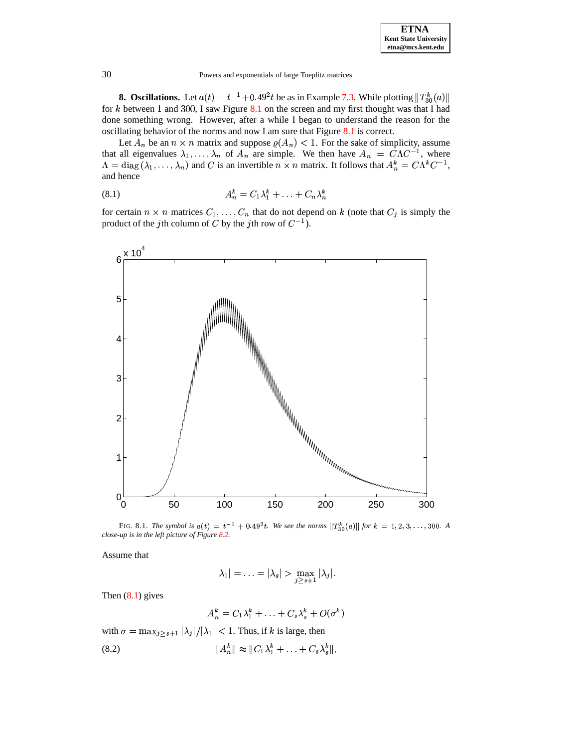

**8. Oscillations.** Let  $a(t) = t^{-1} + 0.49^2t$  be as in Example [7.3.](#page-26-0) While plotting  $||T_{30}^k(a)||$ for k between 1 and 300, I saw Figure [8.1](#page-35-0) on the screen and my first thought was that I had done something wrong. However, after a while I began to understand the reason for the oscillating behavior of the norms and now I am sure that Figure [8.1](#page-35-0) is correct.

<span id="page-29-0"></span>Let  $A_n$  be an  $n \times n$  matrix and suppose  $\rho(A_n) < 1$ . For the sake of simplicity, assume that all eigenvalues  $\lambda_1, \ldots, \lambda_n$  or  $\lambda_1, \ldots, \lambda_n$  of  $A_n$  are simple. We then have  $A_n = C\Lambda C^{-1}$ , where and C is an invertible  $n \times n$  matrix. It follows that  $A_n^k = C\Lambda^k C^{-1}$ ,  $\Lambda = \text{diag}(\lambda_1, \dots, \lambda_n)$  and C is an invertible  $n \times n$  matrix. It follows that  $A_n^k = C \Lambda^k C^{-1}$ , and hence and hence

$$
(8.1) \t A_n^k = C_1 \lambda_1^k + \ldots + C_n \lambda_n^k
$$

for certain  $n \times n$  matrices  $C_1, \ldots, C_n$  that do not depend on k (note that  $C_j$  is simply the product of the jth column of C by the jth row of  $C^{-1}$ ).



FIG. 8.1. *The symbol is*  $a(t) = t^{-1} + 0.49^2 t$ . We see the norms  $||T_{30}^k(a)||$  for  $k = 1, 2, 3, ..., 300$ . A *close-up is in the left picture of Figure [8.2.](#page-31-0)*

Assume that

$$
|\lambda_1|=\ldots=|\lambda_s|>\max_{j\geq s+1}|\lambda_j|.
$$

Then  $(8.1)$  gives

$$
A_n^k = C_1 \lambda_1^k + \ldots + C_s \lambda_s^k + O(\sigma^k)
$$

with  $\sigma = \max_{j>s+1} |\lambda_j|/|\lambda_1| < 1$ . Thus, if k is large, then and the company of

(8.2) 
$$
||A_n^k|| \approx ||C_1\lambda_1^k + ... + C_s\lambda_s^k||,
$$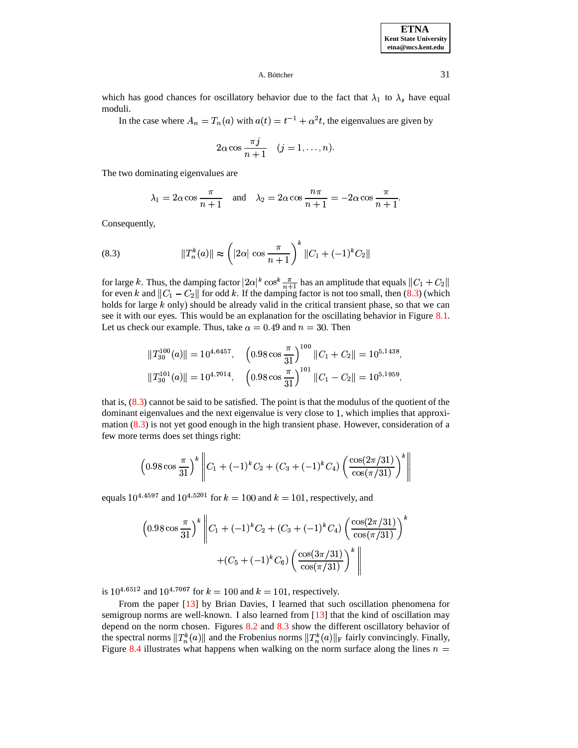**ETNA Kent State University etna@mcs.kent.edu**

A. Böttcher  $\qquad \qquad 31$ 

which has good chances for oscillatory behavior due to the fact that  $\lambda_1$  to  $\lambda_s$  have equal moduli.

In the case where  $A_n = T_n(a)$  with  $a(t) = t^{-1} + \alpha^2 t$ , the eigenvalues are given by

$$
2\alpha \cos \frac{\pi j}{n+1} \quad (j=1,\ldots,n).
$$

The two dominating eigenvalues are

$$
\lambda_1 = 2\alpha \cos \frac{\pi}{n+1}
$$
 and  $\lambda_2 = 2\alpha \cos \frac{n\pi}{n+1} = -2\alpha \cos \frac{\pi}{n+1}$ .

<span id="page-30-0"></span>Consequently,

(8.3) 
$$
||T_n^k(a)|| \approx \left(|2\alpha| \cos \frac{\pi}{n+1}\right)^k ||C_1 + (-1)^k C_2||
$$

for large k. Thus, the damping factor  $|2\alpha|^k \cos^k \frac{\pi}{n+1}$  has an amplitude that equals  $||C_1 + C_2||$ for even k and  $||C_1 - C_2||$  for odd k. If the damping factor is not too small, then [\(8.3\)](#page-30-0) (which holds for large  $k$  only) should be already valid in the critical transient phase, so that we can see it with our eyes. This would be an explanation for the oscillating behavior in Figure [8.1.](#page-35-0) Let us check our example. Thus, take  $\alpha = 0.49$  and  $n = 30$ . Then

$$
||T_{30}^{100}(a)|| = 10^{4.6457}, \quad \left(0.98 \cos \frac{\pi}{31}\right)^{100} ||C_1 + C_2|| = 10^{5.1438},
$$
  

$$
||T_{30}^{101}(a)|| = 10^{4.7014}, \quad \left(0.98 \cos \frac{\pi}{31}\right)^{101} ||C_1 - C_2|| = 10^{5.1959},
$$

that is, [\(8.3\)](#page-30-0) cannot be said to be satisfied. The point is that the modulus of the quotient of the dominant eigenvalues and the next eigenvalue is very close to 1, which implies that approximation [\(8.3\)](#page-30-0) is not yet good enough in the high transient phase. However, consideration of a few more terms does set things right:

$$
\left(0.98\cos\frac{\pi}{31}\right)^k \left\|C_1 + (-1)^k C_2 + (C_3 + (-1)^k C_4) \left(\frac{\cos(2\pi/31)}{\cos(\pi/31)}\right)^k\right\|
$$

equals  $10^{4.4597}$  and  $10^{4.5201}$  for  $k = 100$  and  $k = 101$ , respectively, and

$$
\left(0.98 \cos \frac{\pi}{31}\right)^k \left\| C_1 + (-1)^k C_2 + (C_3 + (-1)^k C_4) \left(\frac{\cos(2\pi/31)}{\cos(\pi/31)}\right)^k + (C_5 + (-1)^k C_6) \left(\frac{\cos(3\pi/31)}{\cos(\pi/31)}\right)^k \right\|
$$

is  $10^{4.6512}$  and  $10^{4.7067}$  for  $k = 100$  and  $k = 101$ , respectively.

From the paper [\[13\]](#page-40-29) by Brian Davies, I learned that such oscillation phenomena for semigroup norms are well-known. I also learned from [\[13\]](#page-40-29) that the kind of oscillation may depend on the norm chosen. Figures [8.2](#page-31-0) and [8.3](#page-31-1) show the different oscillatory behavior of the spectral norms  $||T_n^k(a)||$  and the Frobenius norms  $||T_n^k(a)||_F$  fairly convincingly. Finally, Figure [8.4](#page-32-0) illustrates what happens when walking on the norm surface along the lines  $n =$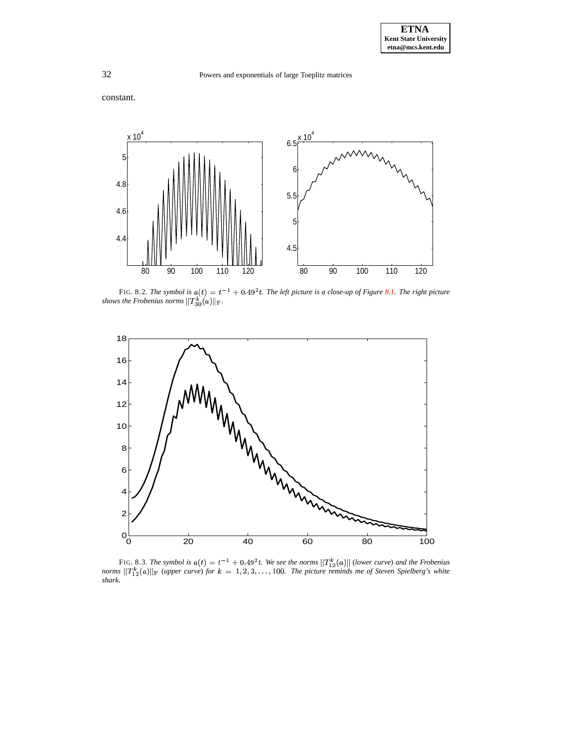32 Powers and exponentials of large Toeplitz matrices

constant.



<span id="page-31-0"></span>FIG. 8.2. The symbol is  $a(t) = t^{-1} + 0.49^2t$ . The left picture is a close-up of Figure [8.1.](#page-35-0) The right picture *shows the Frobenius norms*  $\|T_{30}^k(a)\|_{\mathrm{F}}$  .



<span id="page-31-1"></span>FIG. 8.3. The symbol is  $a(t) = t^{-1} + 0.49^2t$ . We see the norms  $||T_{12}^k(a)||$  (lower curve) and the Frobenius norms  $||T_{12}^k(a)||_F$  (upper curve) for  $k = 1, 2, 3, ..., 100$ . The picture reminds me of Steven Spielberg's white shar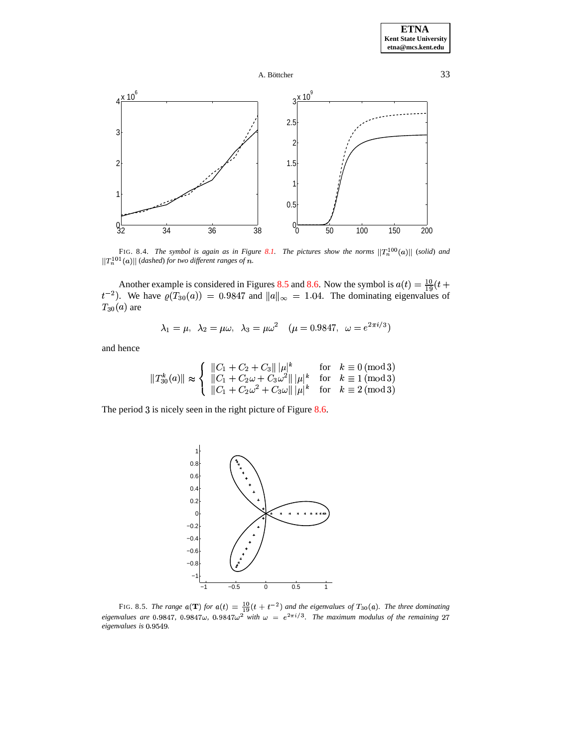



<span id="page-32-0"></span>FIG. 8.4. *The symbol is again as in Figure [8.1.](#page-35-0) The pictures show the norms*  $||T_n^{100}(a)||$  (solid) and  $||T_n^{101}(a)||$  (dashed) for two different ranges of  $n$ .

Another example is considered in Figures [8.5](#page-32-1) and [8.6.](#page-33-0) Now the symbol is  $a(t) = \frac{10}{19}(t + t^{-2})$ . We have  $\varrho(T_{30}(a)) = 0.9847$  and  $||a||_{\infty} = 1.04$ . The dominating eigenvalues of  $T_{30}(a)$  are

$$
\lambda_1 = \mu, \ \lambda_2 = \mu \omega, \ \lambda_3 = \mu \omega^2 \quad (\mu = 0.9847, \ \omega = e^{2\pi i/3})
$$

and hence

$$
||T_{30}^{k}(a)|| \approx \begin{cases} ||C_1 + C_2 + C_3|| \, |\mu|^k & \text{for} \quad k \equiv 0 \, (\text{mod} \, 3) \\ ||C_1 + C_2 \omega + C_3 \omega^2|| \, |\mu|^k & \text{for} \quad k \equiv 1 \, (\text{mod} \, 3) \\ ||C_1 + C_2 \omega^2 + C_3 \omega|| \, |\mu|^k & \text{for} \quad k \equiv 2 \, (\text{mod} \, 3) \end{cases}
$$

The period  $3$  is nicely seen in the right picture of Figure [8.6.](#page-33-0)



<span id="page-32-1"></span>FIG. 8.5. *The range*  $a(\mathbf{T})$  *for*  $a(t) = \frac{10}{19}(t + t^{-2})$  *and the eigenvalues of*  $T_{30}(a)$ *. The three dominating*  $eigenvalues$  are 0.9847, 0.9847 $\omega$ , 0.9847 $\omega^2$  with  $\omega = e^{2\pi i/3}$ . The maximum modulus of the remaining 27 *eigenvalues* is 0.9549.

A. Böttcher  $\qquad \qquad 33$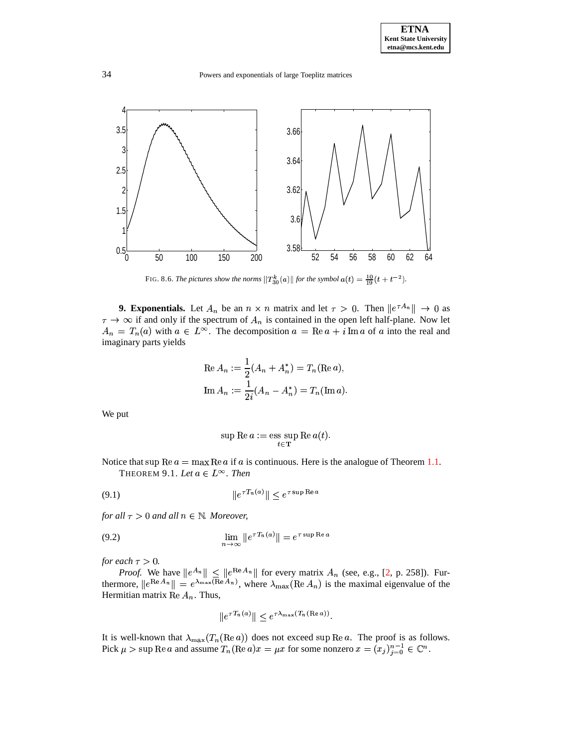34 Powers and exponentials of large Toeplitz matrices



FIG. 8.6. *The pictures show the norms*  $||T_{30}^{k}(a)||$  *for the symbol*  $a(t) = \frac{10}{19}(t + t^{-2})$ .

<span id="page-33-0"></span>**9. Exponentials.** Let  $A_n$  be an  $n \times n$  matrix and let  $\tau > 0$ . Then  $||e^{\tau A_n}|| \to 0$  as  $\tau \to \infty$  if and only if the spectrum of  $A_n$  is contained in the open left half-plane. Now let  $A_n = T_n(a)$  with  $a \in L^{\infty}$ . The decomposition  $a = \text{Re } a + i \text{ Im } a$  of a into the real and imaginary parts yields

Re 
$$
A_n := \frac{1}{2}(A_n + A_n^*) = T_n(\text{Re } a),
$$
  
\nIm  $A_n := \frac{1}{2i}(A_n - A_n^*) = T_n(\text{Im } a).$ 

We put

<span id="page-33-2"></span><span id="page-33-1"></span>
$$
\sup \mathrm{Re}\, a := \mathop{\mathrm{ess}\, \sup}_{t\in \mathbf{T}} \mathrm{Re}\, a(t).
$$

<span id="page-33-3"></span>Notice that sup Re  $a = \max$  Re  $a$  if  $a$  is continuous. Here is the analogue of Theorem [1.1.](#page-1-2) THEOREM 9.1. Let  $a \in L^{\infty}$ . Then

$$
(9.1) \t\t\t ||e^{\tau T_n(a)}|| \le e^{\tau \sup \text{Re } a}
$$

*for all*  $\tau > 0$  *and all*  $n \in \mathbb{N}$ *. Moreover,* 

$$
\lim_{n \to \infty} \|e^{\tau T_n(a)}\| = e^{\tau \sup \text{Re } a}
$$

*for each*  $\tau > 0$ *.* 

*Proof.* We have  $||e^{A_n}|| \le ||e^{\text{Re }A_n}||$  for every matrix  $A_n$  (see, e.g., [\[2,](#page-39-7) p. 258]). Furthermore,  $||e^{\text{Re }A_n}|| = e^{\lambda_{\text{max}}(\text{Re }A_n)}$ , where  $\lambda_{\text{max}}(\text{Re }A_n)$  is the maximal eigenvalue of the Hermitian matrix Re  $A_n$ . Thus,

$$
||e^{\tau T_n(a)}|| \leq e^{\tau \lambda_{\max}(T_n(\text{Re }a))}.
$$

It is well-known that  $\lambda_{\text{max}}(T_n(\text{Re }a))$  does not exceed sup Re a. The proof is as follows. Pick  $\mu > \sup \text{Re } a$  and assume  $T_n(\text{Re } a)x = \mu x$  for some nonzero  $x = (x_i)_{i=0}^{n-1} \in \mathbb{C}^n$ .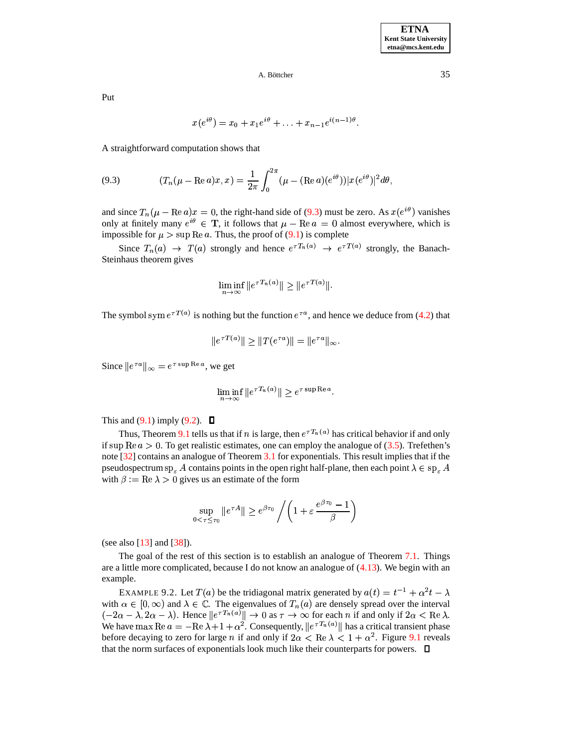Put

<span id="page-34-0"></span>
$$
x(e^{i\theta})=x_0+x_1e^{i\theta}+\ldots+x_{n-1}e^{i(n-1)\theta}.
$$

A straightforward computation shows that

(9.3) 
$$
(T_n(\mu - \text{Re } a)x, x) = \frac{1}{2\pi} \int_0^{2\pi} (\mu - (\text{Re } a)(e^{i\theta})) |x(e^{i\theta})|^2 d\theta,
$$

and since  $T_n(\mu - \text{Re } a)x = 0$ , the right-hand side of [\(9.3\)](#page-34-0) must be zero. As  $x(e^{i\theta})$  vanishes only at finitely many  $e^{i\theta} \in \mathbf{T}$ , it follows that  $\mu - \text{Re } a = 0$  almost everywhere, which is impossible for  $\mu > \sup \text{Re } a$ . Thus, the proof of [\(9.1\)](#page-33-1) is complete

Since  $T_n(a) \to T(a)$  strongly and hence  $e^{\tau T_n(a)} \to e^{\tau T(a)}$  strongly, the Banach-Steinhaus theorem gives

$$
\liminf_{n \to \infty} \|e^{\tau T_n(a)}\| \ge \|e^{\tau T(a)}\|.
$$

The symbol sym  $e^{\tau T(a)}$  is nothing but the function  $e^{\tau a}$ , and hence we deduce from [\(4.2\)](#page-12-5) that

$$
||e^{\tau T(a)}|| \ge ||T(e^{\tau a})|| = ||e^{\tau a}||_{\infty}.
$$

Since  $||e^{\tau a}||_{\infty} = e^{\tau \sup \text{Re } a}$ , we get

$$
\liminf_{n \to \infty} \|e^{\tau T_n(a)}\| \ge e^{\tau \sup \text{Re } a}.
$$

This and  $(9.1)$  imply  $(9.2)$ .  $\Box$ 

Thus, Theorem [9.1](#page-33-3) tells us that if n is large, then  $e^{\tau T_n(a)}$  has critical behavior if and only if  $\sup \text{Re } a > 0$ . To get realistic estimates, one can employ the analogue of [\(3.5\)](#page-7-0). Trefethen's note [\[32\]](#page-40-25) contains an analogue of Theorem [3.1](#page-6-3) for exponentials. This result implies that if the pseudospectrum  $sp_{\varepsilon} A$  contains points in the open right half-plane, then each point  $\lambda \in sp_{\varepsilon} A$ with  $\beta := \text{Re } \lambda > 0$  gives us an estimate of the form

$$
\sup_{0 < \tau \le \tau_0} \|e^{\tau A}\| \ge e^{\beta \tau_0} / \left(1 + \varepsilon \frac{e^{\beta \tau_0} - 1}{\beta}\right)
$$

(see also [\[13\]](#page-40-29) and [\[38\]](#page-40-12)).

The goal of the rest of this section is to establish an analogue of Theorem [7.1.](#page-24-1) Things are a little more complicated, because I do not know an analogue of [\(4.13\)](#page-17-3). We begin with an example.

<span id="page-34-1"></span>EXAMPLE 9.2. Let  $T(a)$  be the tridiagonal matrix generated by  $a(t) = t^{-1} + \alpha^2 t - \lambda$ with  $\alpha \in [0, \infty)$  and  $\lambda \in \mathbb{C}$ . The eigenvalues of  $T_n(a)$  are densely spread over the interval  $(-2\alpha - \lambda, 2\alpha - \lambda)$ . Hence  $||e^{\tau T_n(a)}|| \to 0$  as  $\tau \to \infty$  for each *n* if and only if  $2\alpha < \text{Re }\lambda$ .  $(-2\alpha - \lambda, 2\alpha - \lambda)$ . Hence  $||e^{\tau T_n(\alpha)}|| \to 0$  as  $\tau \to \infty$  for each *n* if and only if  $2\alpha < \text{Re }\lambda$ .<br>We have max  $\text{Re } a = -\text{Re }\lambda + 1 + \alpha^2$ . Consequently,  $||e^{\tau T_n(\alpha)}||$  has a critical transient phase before decaying to zero for large *n* if and only if  $2\alpha < \text{Re }\lambda < 1 + \alpha^2$ . Figure [9.1](#page-35-0) reveals that the norm surfaces of exponentials look much like their counterparts for powers.  $\Box$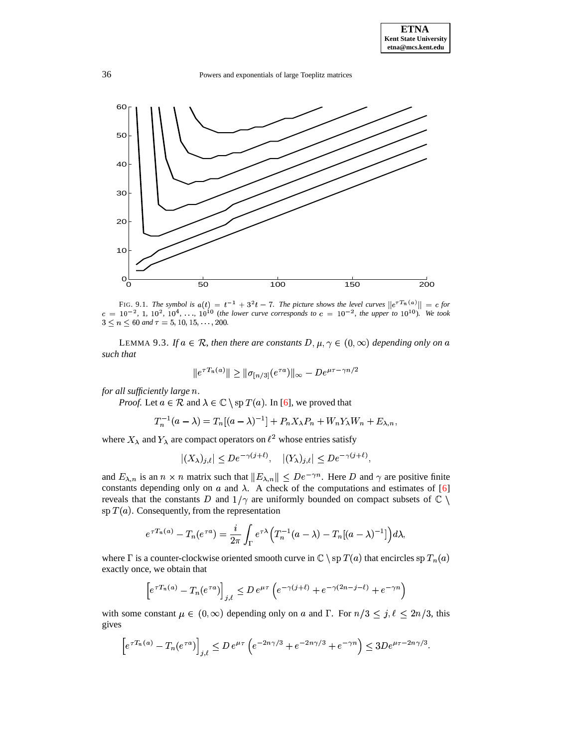

<span id="page-35-0"></span>FIG. 9.1. The symbol is  $a(t) = t^{-1} + 3^2t - 7$ . The picture shows the level curves  $||e^{\tau T_n(a)}|| = c$  for  $c = 10^{-2}$ , 1,  $10^{2}$ ,  $10^{4}$ , ...,  $10^{10}$  (the lower curve corresponds to  $c = 10^{-2}$ , the upper to  $10^{10}$ ). We took  $3 \le n \le 60$  and  $\tau = 5, 10, 15, \ldots, 200$ .

<span id="page-35-1"></span>LEMMA 9.3. *If*  $a \in \mathcal{R}$ , then there are constants  $D, \mu, \gamma \in (0, \infty)$  depending only on a that *such that*

$$
\|e^{\tau T_n(a)}\| \ge \|\sigma_{[n/3]}(e^{\tau a})\|_{\infty} - D e^{\mu \tau - \gamma n/2}
$$

*for all sufficiently large .*

*Proof.* Let  $a \in \mathcal{R}$  and  $\lambda \in \mathbb{C} \setminus \mathrm{sp} T(a)$ . In [\[6\]](#page-39-5), we proved that

$$
T_n^{-1}(a - \lambda) = T_n[(a - \lambda)^{-1}] + P_n X_\lambda P_n + W_n Y_\lambda W_n + E_{\lambda, n},
$$

where  $X_{\lambda}$  and  $Y_{\lambda}$  are compact operators on  $\ell^2$  whose entries satisfy

$$
|(X_{\lambda})_{j,\ell}|\leq De^{-\gamma(j+\ell)},\quad |(Y_{\lambda})_{j,\ell}|\leq De^{-\gamma(j+\ell)},
$$

and  $E_{\lambda,n}$  is an  $n \times n$  matrix such that  $||E_{\lambda,n}|| \leq De^{-\gamma n}$ . Here D and  $\gamma$  are positive finite constants depending only on  $\alpha$  and  $\lambda$ . A check of the computations and estimates of [\[6\]](#page-39-5) reveals that the constants D and  $1/\gamma$  are uniformly bounded on compact subsets of  $\mathbb{C}$ sp  $T(a)$ . Consequently, from the representation

$$
e^{\tau T_n(a)}-T_n(e^{\tau a})=\frac{i}{2\pi}\int_{\Gamma}e^{\tau\lambda}\Big(T_n^{-1}(a-\lambda)-T_n[(a-\lambda)^{-1}]\Big)d\lambda,
$$

where  $\Gamma$  is a counter-clockwise oriented smooth curve in  $\mathbb{C}\setminus \text{sp }T(a)$  that encircles  $\text{sp }T_n(a)$ exactly once, we obtain that

$$
\left[e^{\tau T_n(a)} - T_n(e^{\tau a})\right]_{j,\ell} \le D e^{\mu \tau} \left(e^{-\gamma(j+\ell)} + e^{-\gamma(2n-j-\ell)} + e^{-\gamma n}\right)
$$

with some constant  $\mu \in (0, \infty)$  depending only on a and  $\Gamma$ . For  $n/3 \le j, \ell \le 2n/3$ , this gives gives

$$
\[e^{\tau T_n(a)} - T_n(e^{\tau a})\]_{j,\ell} \le D \, e^{\mu \tau} \left(e^{-2n\gamma/3} + e^{-2n\gamma/3} + e^{-\gamma n}\right) \le 3D e^{\mu \tau - 2n\gamma/3}.
$$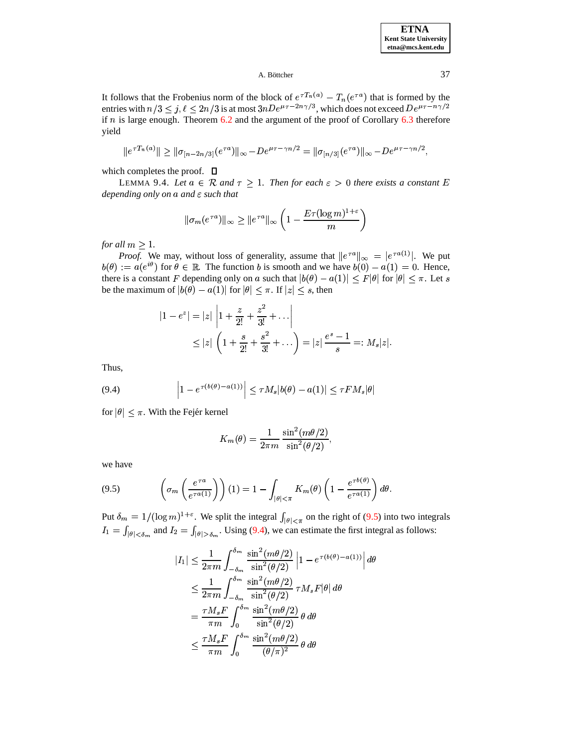### A. Böttcher  $\overline{37}$

It follows that the Frobenius norm of the block of  $e^{\tau T_n(a)} - T_n(e^{\tau a})$  that is formed by the entries with  $n/3 \le j, \ell \le 2n/3$  is at most  $3nDe^{\mu\tau-2n\gamma/3}$ , which does not exceed  $De^{\mu\tau-n\gamma/2}$ <br>if *n* is large enough. Theorem 6.2 and the argument of the proof of Corollary 6.3 therefore if  $n$  is large enough. Theorem  $6.2$  and the argument of the proof of Corollary  $6.3$  therefore yield

$$
||e^{\tau T_n(a)}|| \ge ||\sigma_{[n-2n/3]}(e^{\tau a})||_{\infty} - De^{\mu\tau - \gamma n/2} = ||\sigma_{[n/3]}(e^{\tau a})||_{\infty} - De^{\mu\tau - \gamma n/2},
$$

<span id="page-36-2"></span>which completes the proof.  $\square$ 

LEMMA 9.4. Let  $a \in \mathcal{R}$  and  $\tau \geq 1$ . Then for each  $\varepsilon > 0$  there exists a constant E *depending only on a and*  $\varepsilon$  *such that* 

$$
\|\sigma_m(e^{\tau a})\|_{\infty} \geq \|e^{\tau a}\|_{\infty} \left(1 - \frac{E\tau(\log m)^{1+\varepsilon}}{m}\right)
$$

*for all*  $m \geq 1$ .

*Proof.* We may, without loss of generality, assume that  $||e^{\tau a}||_{\infty} = |e^{\tau a(1)}|$ . We put  $b(\theta) := a(e^{i\theta})$  for  $\theta \in \mathbb{R}$ . The function b is smooth and we have  $b(0) - a(1) = 0$ . Hence, there is a constant F depending only on a such that  $|b(\theta) - a(1)| \leq F|\theta|$  for  $|\theta| \leq \pi$ . Let s be the maximum of  $|b(\theta) - a(1)|$  for  $|\theta| \leq \pi$ . If  $|z| \leq s$ , then

$$
|1 - e^{z}| = |z| \left| 1 + \frac{z}{2!} + \frac{z^{2}}{3!} + \dots \right|
$$
  
 
$$
\leq |z| \left( 1 + \frac{s}{2!} + \frac{s^{2}}{3!} + \dots \right) = |z| \frac{e^{s} - 1}{s} =: M_{s} |z|.
$$

<span id="page-36-1"></span>Thus,

(9.4) 
$$
\left|1-e^{\tau(b(\theta)-a(1))}\right| \leq \tau M_s|b(\theta)-a(1)| \leq \tau FM_s|\theta|
$$

for  $|\theta| \leq \pi$ . With the Fejér kernel

$$
K_m(\theta) = \frac{1}{2\pi m} \frac{\sin^2(m\theta/2)}{\sin^2(\theta/2)},
$$

<span id="page-36-0"></span>we have

(9.5) 
$$
\left(\sigma_m\left(\frac{e^{\tau a}}{e^{\tau a(1)}}\right)\right)(1) = 1 - \int_{|\theta| < \pi} K_m(\theta) \left(1 - \frac{e^{\tau b(\theta)}}{e^{\tau a(1)}}\right) d\theta.
$$

Put  $\delta_m = 1/(\log m)^{1+\epsilon}$ . We split the integral  $\int_{|\theta| \le \pi}$  on the right of [\(9.5\)](#page-36-0) into two integrals  $I_1 = \int_{|\theta| < \delta_m}$  and  $I_2 = \int_{|\theta| > \delta_m}$ . Using [\(9.4\)](#page-36-1), we can estimate the first integral as follows:

$$
|I_1| \leq \frac{1}{2\pi m} \int_{-\delta_m}^{\delta_m} \frac{\sin^2(m\theta/2)}{\sin^2(\theta/2)} \left| 1 - e^{\tau(b(\theta) - a(1))} \right| d\theta
$$
  
\n
$$
\leq \frac{1}{2\pi m} \int_{-\delta_m}^{\delta_m} \frac{\sin^2(m\theta/2)}{\sin^2(\theta/2)} \tau M_s F|\theta| d\theta
$$
  
\n
$$
= \frac{\tau M_s F}{\pi m} \int_0^{\delta_m} \frac{\sin^2(m\theta/2)}{\sin^2(\theta/2)} \theta d\theta
$$
  
\n
$$
\leq \frac{\tau M_s F}{\pi m} \int_0^{\delta_m} \frac{\sin^2(m\theta/2)}{(\theta/\pi)^2} \theta d\theta
$$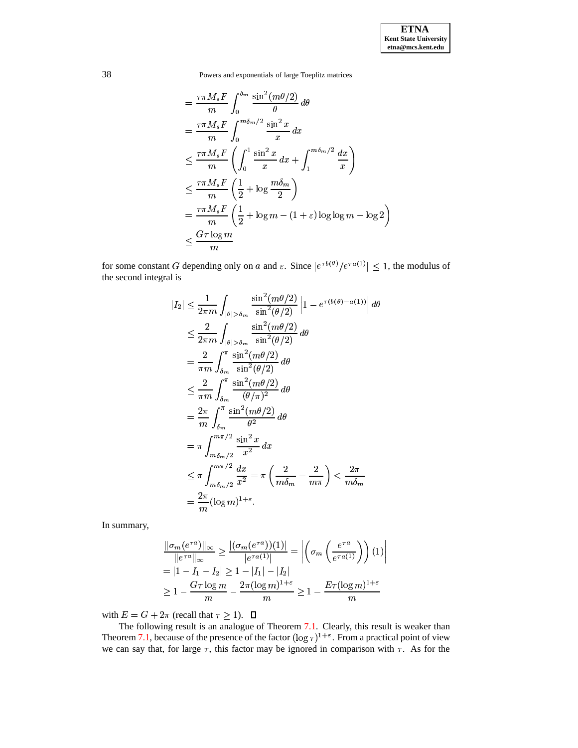$$
\begin{split}\n&= \frac{\tau \pi M_s F}{m} \int_0^{\delta_m} \frac{\sin^2(m\theta/2)}{\theta} d\theta \\
&= \frac{\tau \pi M_s F}{m} \int_0^{m\delta_m/2} \frac{\sin^2 x}{x} dx \\
&\leq \frac{\tau \pi M_s F}{m} \left( \int_0^1 \frac{\sin^2 x}{x} dx + \int_1^{m\delta_m/2} \frac{dx}{x} \right) \\
&\leq \frac{\tau \pi M_s F}{m} \left( \frac{1}{2} + \log \frac{m\delta_m}{2} \right) \\
&= \frac{\tau \pi M_s F}{m} \left( \frac{1}{2} + \log m - (1 + \varepsilon) \log \log m - \log 2 \right) \\
&\leq \frac{G \tau \log m}{m}\n\end{split}
$$

for some constant G depending only on a and  $\varepsilon$ . Since  $|e^{\tau b(\theta)}/e^{\tau a(1)}| \leq 1$ , the modulus of the second integral is

$$
|I_2| \leq \frac{1}{2\pi m} \int_{|\theta| > \delta_m} \frac{\sin^2(m\theta/2)}{\sin^2(\theta/2)} \left| 1 - e^{\tau(b(\theta) - a(1))} \right| d\theta
$$
  
\n
$$
\leq \frac{2}{2\pi m} \int_{|\theta| > \delta_m} \frac{\sin^2(m\theta/2)}{\sin^2(\theta/2)} d\theta
$$
  
\n
$$
= \frac{2}{\pi m} \int_{\delta_m}^{\pi} \frac{\sin^2(m\theta/2)}{\sin^2(\theta/2)} d\theta
$$
  
\n
$$
\leq \frac{2}{\pi m} \int_{\delta_m}^{\pi} \frac{\sin^2(m\theta/2)}{(\theta/\pi)^2} d\theta
$$
  
\n
$$
= \frac{2\pi}{m} \int_{\delta_m}^{\pi} \frac{\sin^2(m\theta/2)}{\theta^2} d\theta
$$
  
\n
$$
= \pi \int_{m\delta_m/2}^{m\pi/2} \frac{\sin^2 x}{x^2} dx
$$
  
\n
$$
\leq \pi \int_{m\delta_m/2}^{m\pi/2} \frac{dx}{x^2} = \pi \left( \frac{2}{m\delta_m} - \frac{2}{m\pi} \right) < \frac{2\pi}{m\delta_m}
$$
  
\n
$$
= \frac{2\pi}{m} (\log m)^{1+\epsilon}.
$$

In summary,

$$
\frac{\|\sigma_m(e^{\tau a})\|_{\infty}}{\|e^{\tau a}\|_{\infty}} \ge \frac{|\left(\sigma_m(e^{\tau a})\right)(1)|}{|e^{\tau a}(1)|} = \left|\left(\sigma_m\left(\frac{e^{\tau a}}{e^{\tau a}(1)}\right)\right)(1)\right|
$$
  
=  $|1 - I_1 - I_2| \ge 1 - |I_1| - |I_2|$   
 $\ge 1 - \frac{G\tau \log m}{m} - \frac{2\pi(\log m)^{1+\varepsilon}}{m} \ge 1 - \frac{E\tau(\log m)^{1+\varepsilon}}{m}$ 

with  $E = G + 2\pi$  (recall that  $\tau \geq 1$ ).  $\Box$ 

The following result is an analogue of Theorem [7.1.](#page-24-1) Clearly, this result is weaker than Theorem [7.1,](#page-24-1) because of the presence of the factor  $(\log \tau)^{1+\epsilon}$ . From a practical point of view we can say that, for large  $\tau$ , this factor may be ignored in comparison with  $\tau$ . As for the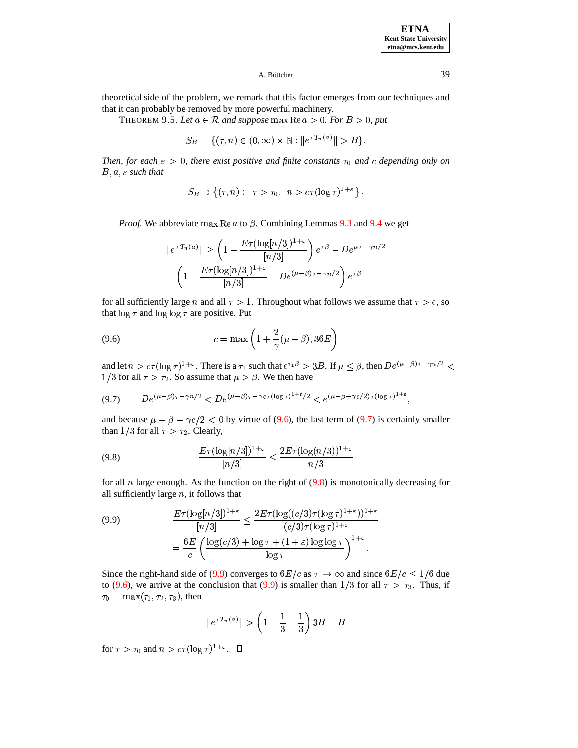**ETNA Kent State University etna@mcs.kent.edu**

## A. Böttcher  $\qquad \qquad 39$

<span id="page-38-4"></span>theoretical side of the problem, we remark that this factor emerges from our techniques and that it can probably be removed by more powerful machinery.

THEOREM 9.5. Let  $a \in \mathcal{R}$  and suppose  $\max \text{Re } a > 0$ . For  $B > 0$ , put

$$
S_B = \{ (\tau, n) \in (0, \infty) \times \mathbb{N} : ||e^{\tau T_n(a)}|| > B \}.
$$

*Then, for each*  $\epsilon > 0$ *, there exist positive and finite constants*  $\tau_0$  *and c* depending *only on*  $B, a, \varepsilon$  such that

$$
S_B \supset \{ (\tau, n) : \ \tau > \tau_0, \ n > c\tau(\log \tau)^{1+\varepsilon} \} .
$$

*Proof.* We abbreviate max Re  $\alpha$  to  $\beta$ . Combining Lemmas [9.3](#page-35-1) and [9.4](#page-36-2) we get

<span id="page-38-0"></span>
$$
||e^{\tau T_n(a)}|| \ge \left(1 - \frac{E\tau(\log[n/3])^{1+\varepsilon}}{[n/3]}\right) e^{\tau\beta} - De^{\mu\tau - \gamma n/2}
$$

$$
= \left(1 - \frac{E\tau(\log[n/3])^{1+\varepsilon}}{[n/3]} - De^{(\mu-\beta)\tau - \gamma n/2}\right) e^{\tau\beta}
$$

for all sufficiently large *n* and all  $\tau > 1$ . Throughout what follows we assume that  $\tau > e$ , so that  $\log \tau$  and  $\log \log \tau$  are positive. Put

$$
(9.6)\qquad \qquad c = \max\left(1 + \frac{2}{\gamma}(\mu - \beta), 36E\right)
$$

<span id="page-38-1"></span>and let  $n > c\tau(\log \tau)^{1+\varepsilon}$ . There is a  $\tau_1$  such that  $e^{\tau_1\beta} > 3B$ . If  $\mu \leq \beta$ , then  $De^{(\mu-\beta)\tau-\gamma n/2} <$ 1/3 for all  $\tau > \tau_2$ . So assume that  $\mu > \beta$ . We then have

$$
(9.7) \qquad De^{(\mu-\beta)\tau-\gamma n/2} < De^{(\mu-\beta)\tau-\gamma c\tau(\log\tau)^{1+\varepsilon}/2} < e^{(\mu-\beta-\gamma c/2)\tau(\log\tau)^{1+\varepsilon}},
$$

<span id="page-38-2"></span>and because  $\mu - \beta - \gamma c/2 < 0$  by virtue of [\(9.6\)](#page-38-0), the last term of [\(9.7\)](#page-38-1) is certainly smaller than  $1/3$  for all  $\tau > \tau_2$ . Clearly,

$$
\frac{E\tau(\log[n/3])^{1+\varepsilon}}{[n/3]} \le \frac{2E\tau(\log(n/3))^{1+\varepsilon}}{n/3}
$$

for all *n* large enough. As the function on the right of  $(9.8)$  is monotonically decreasing for all sufficiently large  $n$ , it follows that

<span id="page-38-3"></span>(9.9) 
$$
\frac{E\tau(\log[n/3])^{1+\varepsilon}}{[n/3]} \le \frac{2E\tau(\log((c/3)\tau(\log \tau)^{1+\varepsilon}))^{1+\varepsilon}}{(c/3)\tau(\log \tau)^{1+\varepsilon}}
$$

$$
= \frac{6E}{c} \left( \frac{\log(c/3) + \log \tau + (1+\varepsilon)\log\log \tau}{\log \tau} \right)^{1+\varepsilon}.
$$

Since the right-hand side of [\(9.9\)](#page-38-3) converges to  $6E/c$  as  $\tau \to \infty$  and since  $6E/c \le 1/6$  due to [\(9.6\)](#page-38-0), we arrive at the conclusion that [\(9.9\)](#page-38-3) is smaller than  $1/3$  for all  $\tau > \tau_3$ . Thus, if  $\tau_0 = \max(\tau_1, \tau_2, \tau_3)$ , then

$$
\|e^{\tau \, T_n(a)}\| > \left(1 - \frac{1}{3} - \frac{1}{3}\right) 3B = B
$$

for  $\tau > \tau_0$  and  $n > c\tau(\log \tau)^{1+\epsilon}$ .  $\Box$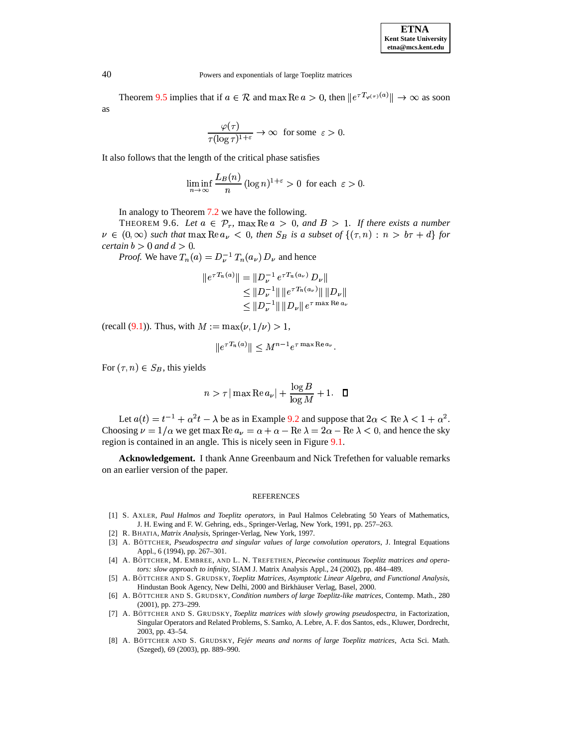| <b>ETNA</b>                  |
|------------------------------|
| <b>Kent State University</b> |
| etna@mcs.kent.edu            |

Theorem [9.5](#page-38-4) implies that if  $a \in \mathcal{R}$  and  $\max \text{Re } a > 0$ , then  $||e^{\tau T_{\varphi(\tau)}(a)}|| \to \infty$  as soon as

$$
\frac{\varphi(\tau)}{\tau(\log \tau)^{1+\varepsilon}} \to \infty \text{ for some } \varepsilon > 0.
$$

It also follows that the length of the critical phase satisfies

$$
\liminf_{n \to \infty} \frac{L_B(n)}{n} (\log n)^{1+\varepsilon} > 0 \text{ for each } \varepsilon > 0.
$$

In analogy to Theorem [7.2](#page-24-2) we have the following.

THEOREM 9.6. Let  $a \in \mathcal{P}_r$ , max  $\text{Re } a > 0$ , and  $B > 1$ . If there exists a number THEOREM 9.6. Let  $a \in \mathcal{P}_r$ ,  $\max \text{Re } a > 0$ , and  $B > 1$ . If there exists a number  $\nu \in (0, \infty)$  such that  $\max \text{Re } a_{\nu} < 0$ , then  $S_B$  is a subset of  $\{(\tau, n) : n > b\tau + d\}$  for certain  $b > 0$  and  $d > 0$ .  $\text{Ler}(\mathbf{a}, \mathbf{b}) \geq 0 \text{ and } d > 0.$ 

*Proof.* We have  $T_n(a) = D_{\nu}^{-1} T_n(a_{\nu}) D_{\nu}$  and hence

$$
||e^{\tau T_n(a)}|| = ||D_{\nu}^{-1} e^{\tau T_n(a_{\nu})} D_{\nu}||
$$
  
\n
$$
\leq ||D_{\nu}^{-1}|| ||e^{\tau T_n(a_{\nu})}|| ||D_{\nu}||
$$
  
\n
$$
\leq ||D_{\nu}^{-1}|| ||D_{\nu}|| e^{\tau \max \text{Re } a_{\nu}}
$$

(recall [\(9.1\)](#page-33-1)). Thus, with  $M := \max(v, 1/v) > 1$ ,

$$
\|e^{\tau T_n(a)}\| < M^{n-1}e^{\tau \max \operatorname{Re} a_\nu}.
$$

For  $(\tau, n) \in S_B$ , this yields

$$
n > \tau |\max \text{Re } a_{\nu}| + \frac{\log B}{\log M} + 1. \quad \Box
$$

Let  $a(t) = t^{-1} + \alpha^2 t - \lambda$  be as in Example [9.2](#page-34-1) and suppose that  $2\alpha < \text{Re }\lambda < 1 + \alpha^2$ . Choosing  $\nu = 1/\alpha$  we get max  $\text{Re } a_{\nu} = \alpha + \alpha - \text{Re } \lambda = 2\alpha - \text{Re } \lambda < 0$ , and hence the sky region is contained in an angle. This is nicely seen in Figure [9.1.](#page-35-0)

**Acknowledgement.** I thank Anne Greenbaum and Nick Trefethen for valuable remarks on an earlier version of the paper.

#### REFERENCES

- <span id="page-39-7"></span><span id="page-39-3"></span>[1] S. AXLER, *Paul Halmos and Toeplitz operators*, in Paul Halmos Celebrating 50 Years of Mathematics, J. H. Ewing and F. W. Gehring, eds., Springer-Verlag, New York, 1991, pp. 257–263.
- [2] R. BHATIA, *Matrix Analysis*, Springer-Verlag, New York, 1997.
- <span id="page-39-4"></span>[3] A. BO¨ TTCHER, *Pseudospectra and singular values of large convolution operators*, J. Integral Equations Appl., 6 (1994), pp. 267–301.
- <span id="page-39-1"></span>[4] A. BO¨ TTCHER, M. EMBREE, AND L. N. TREFETHEN, *Piecewise continuous Toeplitz matrices and operators: slow approach to infinity*, SIAM J. Matrix Analysis Appl., 24 (2002), pp. 484–489.
- <span id="page-39-0"></span>[5] A. BO¨ TTCHER AND S. GRUDSKY, *Toeplitz Matrices, Asymptotic Linear Algebra, and Functional Analysis*, Hindustan Book Agency, New Delhi, 2000 and Birkhäuser Verlag, Basel, 2000.
- <span id="page-39-5"></span>[6] A. BO¨ TTCHER AND S. GRUDSKY, *Condition numbers of large Toeplitz-like matrices*, Contemp. Math., 280 (2001), pp. 273–299.
- <span id="page-39-2"></span>[7] A. BO¨ TTCHER AND S. GRUDSKY, *Toeplitz matrices with slowly growing pseudospectra*, in Factorization, Singular Operators and Related Problems, S. Samko, A. Lebre, A. F. dos Santos, eds., Kluwer, Dordrecht, 2003, pp. 43–54.
- <span id="page-39-6"></span>[8] A. BO¨ TTCHER AND S. GRUDSKY, *Fejer´ means and norms of large Toeplitz matrices*, Acta Sci. Math. (Szeged), 69 (2003), pp. 889–990.